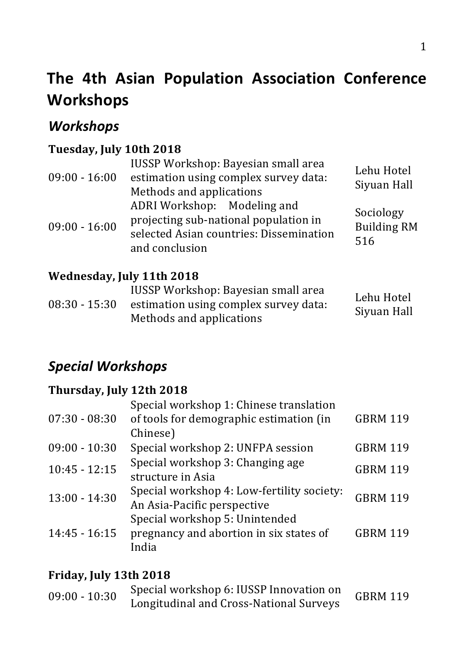# **The 4th Asian Population Association Conference Workshops**

## *Workshops*

#### Tuesday, July 10th 2018

| $09:00 - 16:00$ | IUSSP Workshop: Bayesian small area<br>estimation using complex survey data:<br>Methods and applications                          | Lehu Hotel<br>Siyuan Hall              |
|-----------------|-----------------------------------------------------------------------------------------------------------------------------------|----------------------------------------|
| $09:00 - 16:00$ | ADRI Workshop: Modeling and<br>projecting sub-national population in<br>selected Asian countries: Dissemination<br>and conclusion | Sociology<br><b>Building RM</b><br>516 |

#### **Wednesday, July 11th 2018**

|                 | IUSSP Workshop: Bayesian small area   | Lehu Hotel  |
|-----------------|---------------------------------------|-------------|
| $08:30 - 15:30$ | estimation using complex survey data: | Siyuan Hall |
|                 | Methods and applications              |             |

## *Special Workshops*

#### **Thursday, July 12th 2018**

|                 | Special workshop 1: Chinese translation                                            |                 |
|-----------------|------------------------------------------------------------------------------------|-----------------|
| $07:30 - 08:30$ | of tools for demographic estimation (in                                            | <b>GBRM 119</b> |
|                 | Chinese)                                                                           |                 |
| $09:00 - 10:30$ | Special workshop 2: UNFPA session                                                  | <b>GBRM 119</b> |
| $10:45 - 12:15$ | Special workshop 3: Changing age<br>structure in Asia                              | <b>GBRM 119</b> |
| $13:00 - 14:30$ | Special workshop 4: Low-fertility society:<br>An Asia-Pacific perspective          | <b>GBRM 119</b> |
| $14:45 - 16:15$ | Special workshop 5: Unintended<br>pregnancy and abortion in six states of<br>India | <b>GBRM 119</b> |

#### **Friday, July 13th 2018**

| $09:00 - 10:30$ | Special workshop 6: IUSSP Innovation on | <b>GBRM 119</b> |
|-----------------|-----------------------------------------|-----------------|
|                 | Longitudinal and Cross-National Surveys |                 |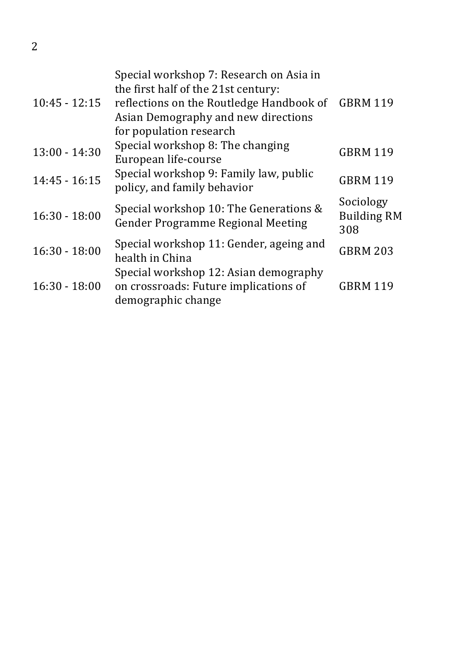| $10:45 - 12:15$ | Special workshop 7: Research on Asia in<br>the first half of the 21st century:<br>reflections on the Routledge Handbook of<br>Asian Demography and new directions<br>for population research | <b>GBRM 119</b>                        |
|-----------------|----------------------------------------------------------------------------------------------------------------------------------------------------------------------------------------------|----------------------------------------|
| $13:00 - 14:30$ | Special workshop 8: The changing<br>European life-course                                                                                                                                     | <b>GBRM 119</b>                        |
| $14:45 - 16:15$ | Special workshop 9: Family law, public<br>policy, and family behavior                                                                                                                        | <b>GBRM 119</b>                        |
| $16:30 - 18:00$ | Special workshop 10: The Generations &<br>Gender Programme Regional Meeting                                                                                                                  | Sociology<br><b>Building RM</b><br>308 |
| $16:30 - 18:00$ | Special workshop 11: Gender, ageing and<br>health in China                                                                                                                                   | <b>GBRM 203</b>                        |
| $16:30 - 18:00$ | Special workshop 12: Asian demography<br>on crossroads: Future implications of<br>demographic change                                                                                         | <b>GBRM 119</b>                        |

2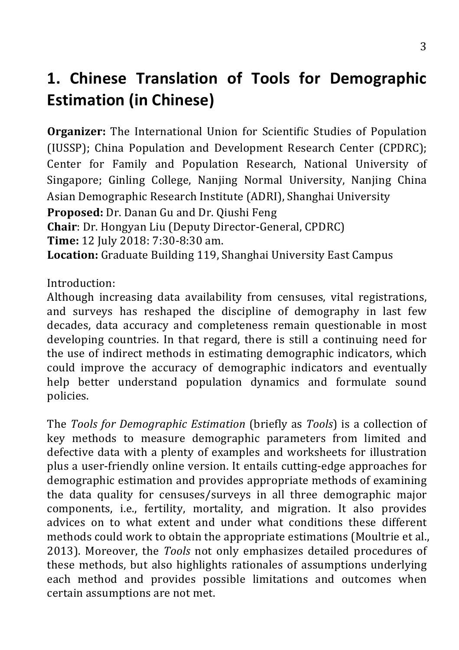# **1. Chinese Translation of Tools for Demographic Estimation (in Chinese)**

**Organizer:** The International Union for Scientific Studies of Population (IUSSP): China Population and Development Research Center (CPDRC): Center for Family and Population Research, National University of Singapore; Ginling College, Nanjing Normal University, Nanjing China Asian Demographic Research Institute (ADRI), Shanghai University

**Proposed:** Dr. Danan Gu and Dr. Qiushi Feng **Chair**: Dr. Hongyan Liu (Deputy Director-General, CPDRC) **Time:** 12 July 2018: 7:30-8:30 am. **Location:** Graduate Building 119, Shanghai University East Campus

Introduction:

Although increasing data availability from censuses, vital registrations, and surveys has reshaped the discipline of demography in last few decades, data accuracy and completeness remain questionable in most developing countries. In that regard, there is still a continuing need for the use of indirect methods in estimating demographic indicators, which could improve the accuracy of demographic indicators and eventually help better understand population dynamics and formulate sound policies. 

The *Tools for Demographic Estimation* (briefly as *Tools*) is a collection of key methods to measure demographic parameters from limited and defective data with a plenty of examples and worksheets for illustration plus a user-friendly online version. It entails cutting-edge approaches for demographic estimation and provides appropriate methods of examining the data quality for censuses/surveys in all three demographic major components, i.e., fertility, mortality, and migration. It also provides advices on to what extent and under what conditions these different methods could work to obtain the appropriate estimations (Moultrie et al., 2013). Moreover, the *Tools* not only emphasizes detailed procedures of these methods, but also highlights rationales of assumptions underlying each method and provides possible limitations and outcomes when certain assumptions are not met.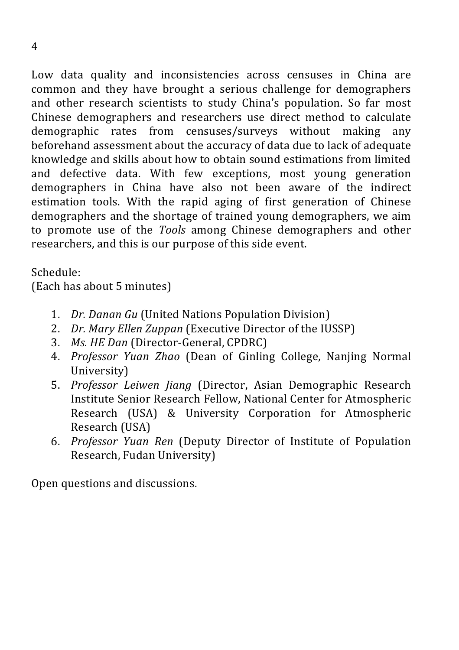Low data quality and inconsistencies across censuses in China are common and they have brought a serious challenge for demographers and other research scientists to study China's population. So far most Chinese demographers and researchers use direct method to calculate demographic rates from censuses/surveys without making any beforehand assessment about the accuracy of data due to lack of adequate knowledge and skills about how to obtain sound estimations from limited and defective data. With few exceptions, most young generation demographers in China have also not been aware of the indirect estimation tools. With the rapid aging of first generation of Chinese demographers and the shortage of trained young demographers, we aim to promote use of the *Tools* among Chinese demographers and other researchers, and this is our purpose of this side event.

Schedule:

(Each has about 5 minutes)

- 1. *Dr. Danan Gu* (United Nations Population Division)
- 2. *Dr. Mary Ellen Zuppan* (Executive Director of the IUSSP)
- 3. *Ms. HE Dan* (Director-General, CPDRC)
- 4. *Professor Yuan Zhao* (Dean of Ginling College, Nanjing Normal University)
- 5. *Professor Leiwen Jiang* (Director, Asian Demographic Research Institute Senior Research Fellow, National Center for Atmospheric Research (USA) & University Corporation for Atmospheric Research (USA)
- 6. *Professor Yuan Ren* (Deputy Director of Institute of Population Research, Fudan University)

Open questions and discussions.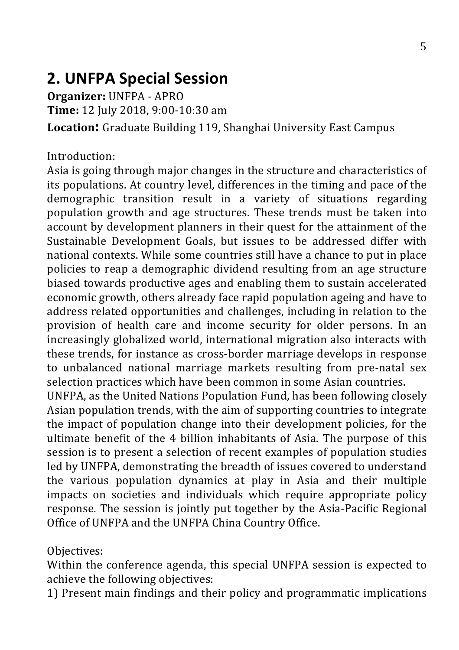## **2. UNFPA Special Session**

**Organizer: UNFPA - APRO Time:** 12 July 2018, 9:00-10:30 am **Location:** Graduate Building 119, Shanghai University East Campus

#### Introduction:

Asia is going through major changes in the structure and characteristics of its populations. At country level, differences in the timing and pace of the demographic transition result in a variety of situations regarding population growth and age structures. These trends must be taken into account by development planners in their quest for the attainment of the Sustainable Development Goals, but issues to be addressed differ with national contexts. While some countries still have a chance to put in place policies to reap a demographic dividend resulting from an age structure biased towards productive ages and enabling them to sustain accelerated economic growth, others already face rapid population ageing and have to address related opportunities and challenges, including in relation to the provision of health care and income security for older persons. In an increasingly globalized world, international migration also interacts with these trends, for instance as cross-border marriage develops in response to unbalanced national marriage markets resulting from pre-natal sex selection practices which have been common in some Asian countries.

UNFPA, as the United Nations Population Fund, has been following closely Asian population trends, with the aim of supporting countries to integrate the impact of population change into their development policies, for the ultimate benefit of the 4 billion inhabitants of Asia. The purpose of this session is to present a selection of recent examples of population studies led by UNFPA, demonstrating the breadth of issues covered to understand the various population dynamics at play in Asia and their multiple impacts on societies and individuals which require appropriate policy response. The session is jointly put together by the Asia-Pacific Regional Office of UNFPA and the UNFPA China Country Office.

#### Objectives:

Within the conference agenda, this special UNFPA session is expected to achieve the following objectives:

1) Present main findings and their policy and programmatic implications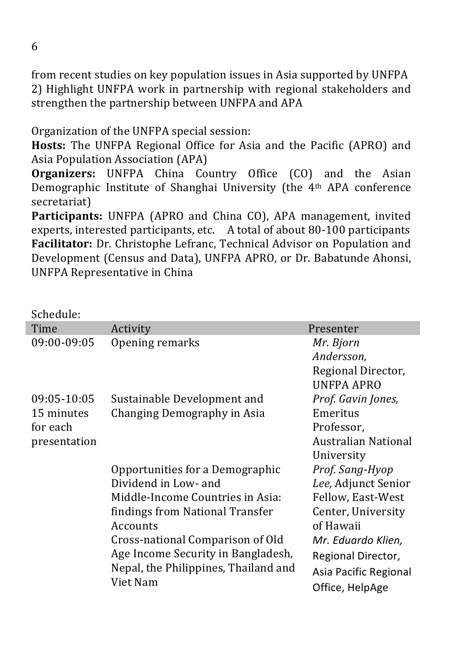from recent studies on key population issues in Asia supported by UNFPA 2) Highlight UNFPA work in partnership with regional stakeholders and strengthen the partnership between UNFPA and APA

#### Organization of the UNFPA special session:

**Hosts:** The UNFPA Regional Office for Asia and the Pacific (APRO) and Asia Population Association (APA)

**Organizers:** UNFPA China Country Office (CO) and the Asian Demographic Institute of Shanghai University (the 4<sup>th</sup> APA conference secretariat)

**Participants:** UNFPA (APRO and China CO), APA management, invited experts, interested participants, etc.  $\,$  A total of about 80-100 participants Facilitator: Dr. Christophe Lefranc, Technical Advisor on Population and Development (Census and Data), UNFPA APRO, or Dr. Babatunde Ahonsi, UNFPA Representative in China

| Schedule:                              |                                                                                        |                                                                |
|----------------------------------------|----------------------------------------------------------------------------------------|----------------------------------------------------------------|
| Time                                   | Activity                                                                               | Presenter                                                      |
| 09:00-09:05                            | Opening remarks                                                                        | Mr. Bjorn<br>Andersson,<br>Regional Director,<br>UNFPA APRO    |
| 09:05-10:05                            | Sustainable Development and                                                            | Prof. Gavin Jones,                                             |
| 15 minutes<br>for each<br>presentation | Changing Demography in Asia                                                            | Emeritus<br>Professor,<br>Australian National<br>University    |
|                                        | Opportunities for a Demographic                                                        | Prof. Sang-Hyop                                                |
|                                        | Dividend in Low- and                                                                   | Lee, Adjunct Senior                                            |
|                                        | Middle-Income Countries in Asia:                                                       | Fellow, East-West                                              |
|                                        | findings from National Transfer<br>Accounts                                            | Center, University<br>of Hawaii                                |
|                                        | Cross-national Comparison of Old                                                       | Mr. Eduardo Klien,                                             |
|                                        | Age Income Security in Bangladesh,<br>Nepal, the Philippines, Thailand and<br>Viet Nam | Regional Director,<br>Asia Pacific Regional<br>Office, HelpAge |

I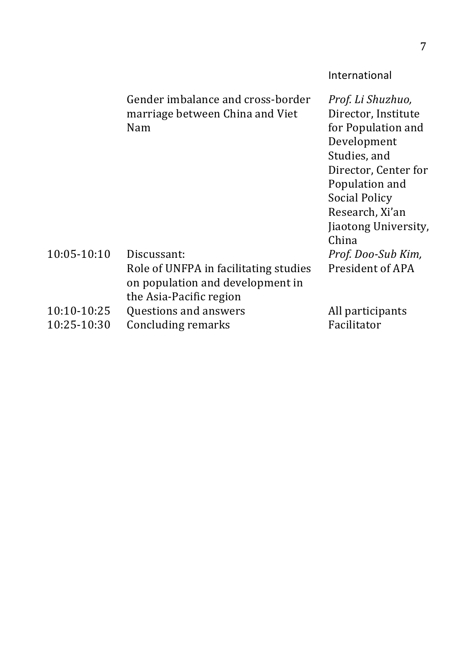#### International

Gender imbalance and cross-border marriage between China and Viet Nam

*Prof. Li Shuzhuo,* Director, Institute for Population and Development Studies, and Director, Center for Population and Social Policy Research, Xi'an Jiaotong University, China *Prof. Doo-Sub Kim,* President of APA 

#### 10:05-10:10 Discussant: Role of UNFPA in facilitating studies on population and development in the Asia-Pacific region 10:10-10:25 Questions and answers All participants 10:25-10:30 Concluding remarks Facilitator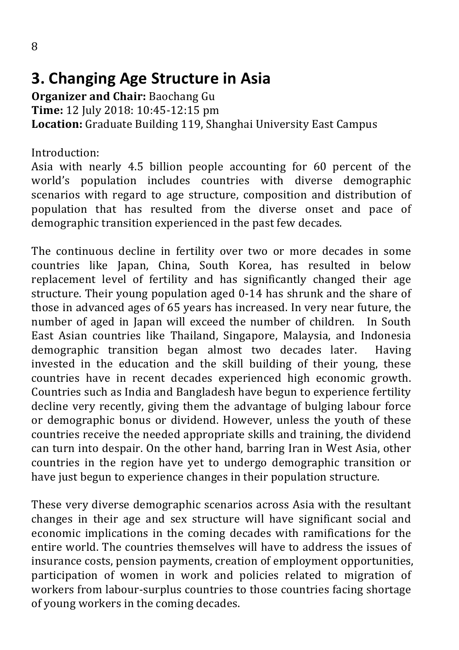## **3. Changing Age Structure in Asia**

**Organizer and Chair: Baochang Gu Time:** 12 July 2018: 10:45-12:15 pm Location: Graduate Building 119, Shanghai University East Campus

Introduction:

Asia with nearly 4.5 billion people accounting for 60 percent of the world's population includes countries with diverse demographic scenarios with regard to age structure, composition and distribution of population that has resulted from the diverse onset and pace of demographic transition experienced in the past few decades.

The continuous decline in fertility over two or more decades in some countries like Japan, China, South Korea, has resulted in below replacement level of fertility and has significantly changed their age structure. Their young population aged 0-14 has shrunk and the share of those in advanced ages of 65 years has increased. In very near future, the number of aged in Japan will exceed the number of children. In South East Asian countries like Thailand, Singapore, Malaysia, and Indonesia demographic transition began almost two decades later. Having invested in the education and the skill building of their young, these countries have in recent decades experienced high economic growth. Countries such as India and Bangladesh have begun to experience fertility decline very recently, giving them the advantage of bulging labour force or demographic bonus or dividend. However, unless the vouth of these countries receive the needed appropriate skills and training, the dividend can turn into despair. On the other hand, barring Iran in West Asia, other countries in the region have yet to undergo demographic transition or have just begun to experience changes in their population structure.

These very diverse demographic scenarios across Asia with the resultant changes in their age and sex structure will have significant social and economic implications in the coming decades with ramifications for the entire world. The countries themselves will have to address the issues of insurance costs, pension payments, creation of employment opportunities, participation of women in work and policies related to migration of workers from labour-surplus countries to those countries facing shortage of young workers in the coming decades.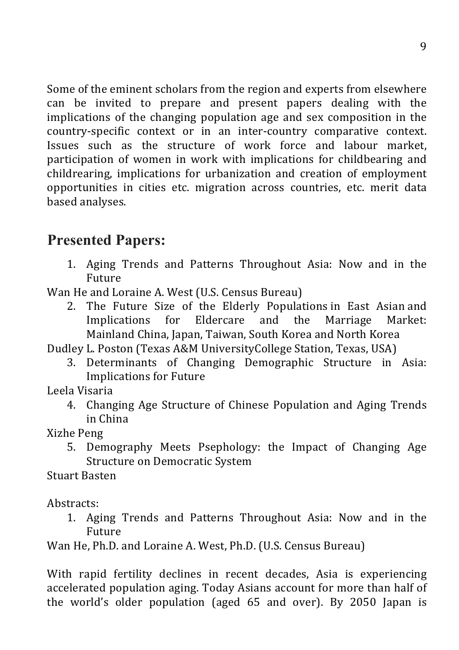Some of the eminent scholars from the region and experts from elsewhere can be invited to prepare and present papers dealing with the implications of the changing population age and sex composition in the country-specific context or in an inter-country comparative context. Issues such as the structure of work force and labour market, participation of women in work with implications for childbearing and childrearing, implications for urbanization and creation of employment opportunities in cities etc. migration across countries, etc. merit data based analyses.

## **Presented Papers:**

1. Aging Trends and Patterns Throughout Asia: Now and in the Future

Wan He and Loraine A. West (U.S. Census Bureau)

2. The Future Size of the Elderly Populations in East Asian and Implications for Eldercare and the Marriage Market: Mainland China, Japan, Taiwan, South Korea and North Korea

Dudley L. Poston (Texas A&M UniversityCollege Station, Texas, USA)

3. Determinants of Changing Demographic Structure in Asia: Implications for Future

Leela Visaria

4. Changing Age Structure of Chinese Population and Aging Trends in China

Xizhe Peng

5. Demography Meets Psephology: the Impact of Changing Age Structure on Democratic System

Stuart Basten

Abstracts: 

1. Aging Trends and Patterns Throughout Asia: Now and in the Future

Wan He, Ph.D. and Loraine A. West, Ph.D. (U.S. Census Bureau)

With rapid fertility declines in recent decades, Asia is experiencing accelerated population aging. Today Asians account for more than half of the world's older population (aged  $65$  and over). By 2050 Japan is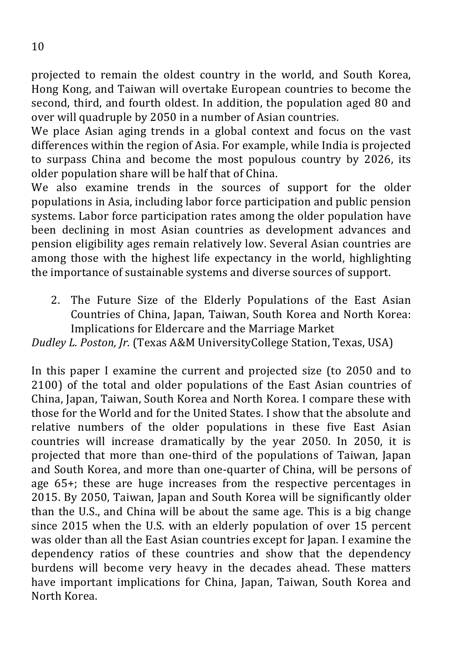projected to remain the oldest country in the world, and South Korea, Hong Kong, and Taiwan will overtake European countries to become the second, third, and fourth oldest. In addition, the population aged 80 and over will quadruple by 2050 in a number of Asian countries.

We place Asian aging trends in a global context and focus on the vast differences within the region of Asia. For example, while India is projected to surpass China and become the most populous country by 2026, its older population share will be half that of China.

We also examine trends in the sources of support for the older populations in Asia, including labor force participation and public pension systems. Labor force participation rates among the older population have been declining in most Asian countries as development advances and pension eligibility ages remain relatively low. Several Asian countries are among those with the highest life expectancy in the world, highlighting the importance of sustainable systems and diverse sources of support.

2. The Future Size of the Elderly Populations of the East Asian Countries of China, Japan, Taiwan, South Korea and North Korea: Implications for Eldercare and the Marriage Market

*Dudley L. Poston, Jr.* (Texas A&M UniversityCollege Station, Texas, USA)

In this paper I examine the current and projected size (to 2050 and to 2100) of the total and older populations of the East Asian countries of China, Japan, Taiwan, South Korea and North Korea. I compare these with those for the World and for the United States. I show that the absolute and relative numbers of the older populations in these five East Asian countries will increase dramatically by the year 2050. In 2050, it is projected that more than one-third of the populations of Taiwan, Japan and South Korea, and more than one-quarter of China, will be persons of age  $65+$ ; these are huge increases from the respective percentages in 2015. By 2050, Taiwan, Japan and South Korea will be significantly older than the U.S., and China will be about the same age. This is a big change since 2015 when the U.S. with an elderly population of over 15 percent was older than all the East Asian countries except for Japan. I examine the dependency ratios of these countries and show that the dependency burdens will become very heavy in the decades ahead. These matters have important implications for China, Japan, Taiwan, South Korea and North Korea.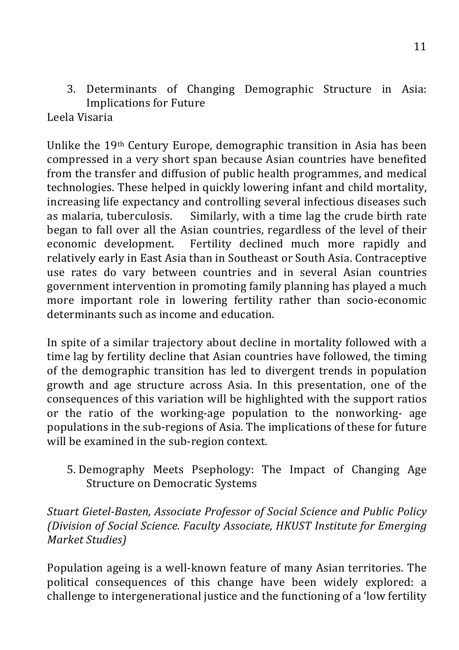3. Determinants of Changing Demographic Structure in Asia: Implications for Future

#### Leela Visaria

Unlike the 19<sup>th</sup> Century Europe, demographic transition in Asia has been compressed in a very short span because Asian countries have benefited from the transfer and diffusion of public health programmes, and medical technologies. These helped in quickly lowering infant and child mortality. increasing life expectancy and controlling several infectious diseases such as malaria, tuberculosis. Similarly, with a time lag the crude birth rate began to fall over all the Asian countries, regardless of the level of their economic development. Fertility declined much more rapidly and relatively early in East Asia than in Southeast or South Asia. Contraceptive use rates do vary between countries and in several Asian countries government intervention in promoting family planning has played a much more important role in lowering fertility rather than socio-economic determinants such as income and education.

In spite of a similar trajectory about decline in mortality followed with a time lag by fertility decline that Asian countries have followed, the timing of the demographic transition has led to divergent trends in population growth and age structure across Asia. In this presentation, one of the consequences of this variation will be highlighted with the support ratios or the ratio of the working-age population to the nonworking- age populations in the sub-regions of Asia. The implications of these for future will be examined in the sub-region context.

5. Demography Meets Psephology: The Impact of Changing Age Structure on Democratic Systems

*Stuart Gietel-Basten, Associate Professor of Social Science and Public Policy (Division of Social Science. Faculty Associate, HKUST Institute for Emerging Market Studies)*

Population ageing is a well-known feature of many Asian territories. The political consequences of this change have been widely explored: a challenge to intergenerational justice and the functioning of a 'low fertility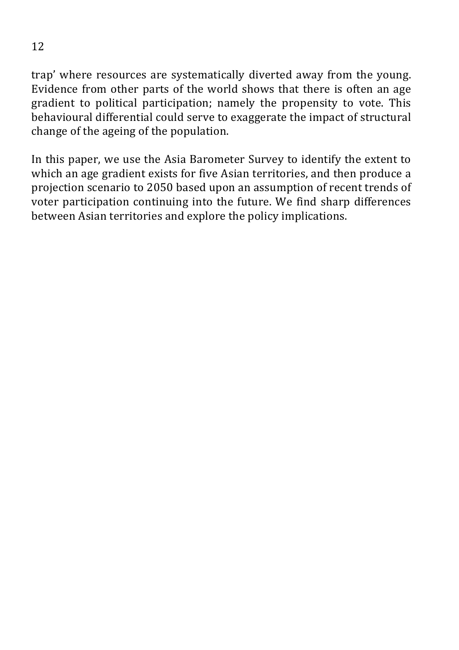trap' where resources are systematically diverted away from the young. Evidence from other parts of the world shows that there is often an age gradient to political participation; namely the propensity to vote. This behavioural differential could serve to exaggerate the impact of structural change of the ageing of the population.

In this paper, we use the Asia Barometer Survey to identify the extent to which an age gradient exists for five Asian territories, and then produce a projection scenario to 2050 based upon an assumption of recent trends of voter participation continuing into the future. We find sharp differences between Asian territories and explore the policy implications.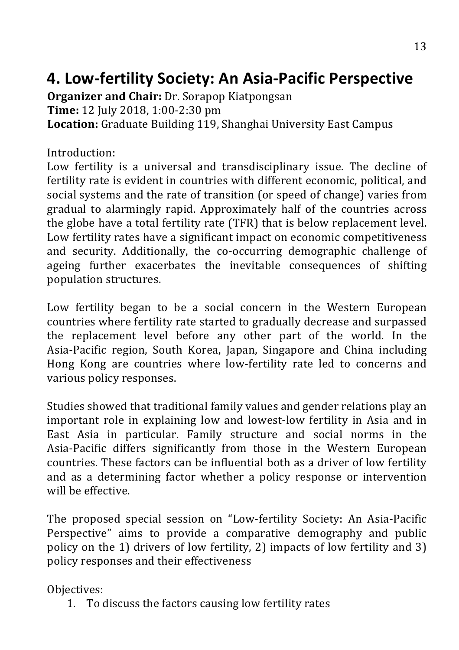## **4. Low-fertility Society: An Asia-Pacific Perspective**

**Organizer and Chair:** Dr. Sorapop Kiatpongsan **Time:** 12 July 2018, 1:00-2:30 pm Location: Graduate Building 119, Shanghai University East Campus

#### Introduction:

Low fertility is a universal and transdisciplinary issue. The decline of fertility rate is evident in countries with different economic, political, and social systems and the rate of transition (or speed of change) varies from gradual to alarmingly rapid. Approximately half of the countries across the globe have a total fertility rate (TFR) that is below replacement level. Low fertility rates have a significant impact on economic competitiveness and security. Additionally, the co-occurring demographic challenge of ageing further exacerbates the inevitable consequences of shifting population structures.

Low fertility began to be a social concern in the Western European countries where fertility rate started to gradually decrease and surpassed the replacement level before any other part of the world. In the Asia-Pacific region, South Korea, Japan, Singapore and China including Hong Kong are countries where low-fertility rate led to concerns and various policy responses.

Studies showed that traditional family values and gender relations play an important role in explaining low and lowest-low fertility in Asia and in East Asia in particular. Family structure and social norms in the Asia-Pacific differs significantly from those in the Western European countries. These factors can be influential both as a driver of low fertility and as a determining factor whether a policy response or intervention will be effective.

The proposed special session on "Low-fertility Society: An Asia-Pacific Perspective" aims to provide a comparative demography and public policy on the 1) drivers of low fertility, 2) impacts of low fertility and 3) policy responses and their effectiveness

Objectives:

1. To discuss the factors causing low fertility rates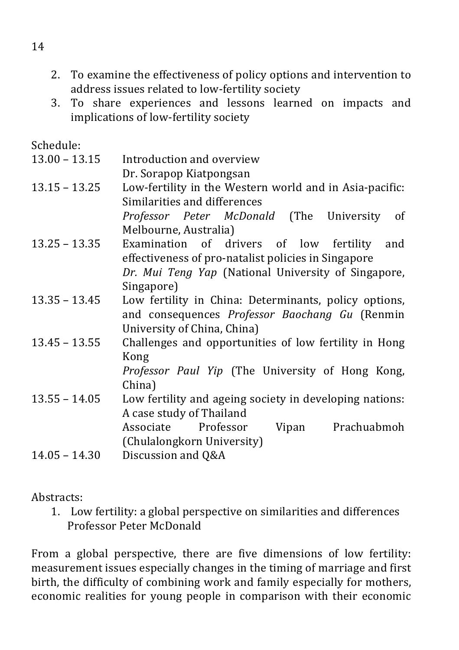- 2. To examine the effectiveness of policy options and intervention to address issues related to low-fertility society
- 3. To share experiences and lessons learned on impacts and implications of low-fertility society

Schedule:

 $13.00 - 13.15$  Introduction and overview Dr. Sorapop Kiatpongsan  $13.15 - 13.25$  Low-fertility in the Western world and in Asia-pacific: Similarities and differences *Professor Peter McDonald* (The University of Melbourne, Australia) 13.25 – 13.35 Examination of drivers of low fertility and effectiveness of pro-natalist policies in Singapore Dr. Mui Teng Yap (National University of Singapore, Singapore) 13.35 – 13.45 Low fertility in China: Determinants, policy options, and consequences *Professor Baochang Gu* (Renmin University of China, China)  $13.45 - 13.55$  Challenges and opportunities of low fertility in Hong Kong *Professor Paul Yip* (The University of Hong Kong, China) 13.55 – 14.05 Low fertility and ageing society in developing nations: A case study of Thailand Associate Professor Vipan Prachuabmoh (Chulalongkorn University)  $14.05 - 14.30$  Discussion and Q&A

Abstracts:

1. Low fertility: a global perspective on similarities and differences  Professor Peter McDonald

From a global perspective, there are five dimensions of low fertility: measurement issues especially changes in the timing of marriage and first birth, the difficulty of combining work and family especially for mothers, economic realities for young people in comparison with their economic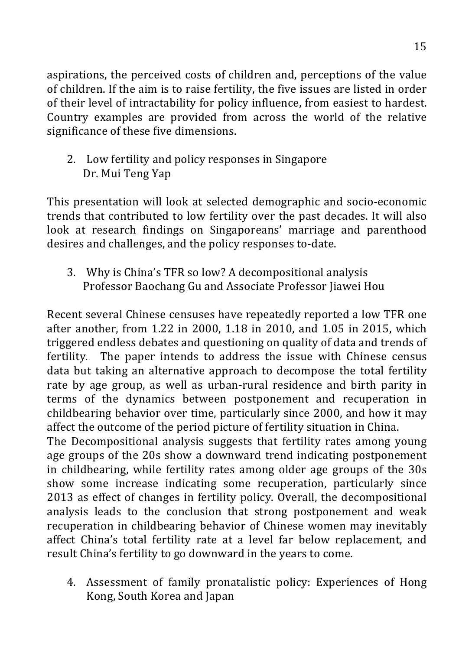aspirations, the perceived costs of children and, perceptions of the value of children. If the aim is to raise fertility, the five issues are listed in order of their level of intractability for policy influence, from easiest to hardest. Country examples are provided from across the world of the relative significance of these five dimensions.

2. Low fertility and policy responses in Singapore Dr. Mui Teng Yap

This presentation will look at selected demographic and socio-economic trends that contributed to low fertility over the past decades. It will also look at research findings on Singaporeans' marriage and parenthood desires and challenges, and the policy responses to-date.

3. Why is China's TFR so low? A decompositional analysis Professor Baochang Gu and Associate Professor Jiawei Hou

Recent several Chinese censuses have repeatedly reported a low TFR one after another, from  $1.22$  in  $2000$ ,  $1.18$  in  $2010$ , and  $1.05$  in  $2015$ , which triggered endless debates and questioning on quality of data and trends of fertility. The paper intends to address the issue with Chinese census data but taking an alternative approach to decompose the total fertility rate by age group, as well as urban-rural residence and birth parity in terms of the dynamics between postponement and recuperation in childbearing behavior over time, particularly since 2000, and how it may affect the outcome of the period picture of fertility situation in China.

The Decompositional analysis suggests that fertility rates among young age groups of the 20s show a downward trend indicating postponement in childbearing, while fertility rates among older age groups of the 30s show some increase indicating some recuperation, particularly since 2013 as effect of changes in fertility policy. Overall, the decompositional analysis leads to the conclusion that strong postponement and weak recuperation in childbearing behavior of Chinese women may inevitably affect China's total fertility rate at a level far below replacement, and result China's fertility to go downward in the years to come.

4. Assessment of family pronatalistic policy: Experiences of Hong Kong, South Korea and Japan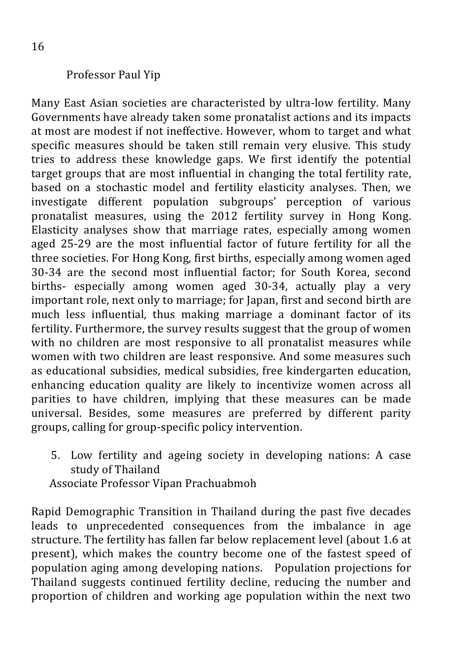#### Professor Paul Yip

Many East Asian societies are characteristed by ultra-low fertility. Many Governments have already taken some pronatalist actions and its impacts at most are modest if not ineffective. However, whom to target and what specific measures should be taken still remain very elusive. This study tries to address these knowledge gaps. We first identify the potential target groups that are most influential in changing the total fertility rate, based on a stochastic model and fertility elasticity analyses. Then, we investigate different population subgroups' perception of various pronatalist measures, using the 2012 fertility survey in Hong Kong. Elasticity analyses show that marriage rates, especially among women aged 25-29 are the most influential factor of future fertility for all the three societies. For Hong Kong, first births, especially among women aged 30-34 are the second most influential factor; for South Korea, second births- especially among women aged 30-34, actually play a very important role, next only to marriage; for Japan, first and second birth are much less influential, thus making marriage a dominant factor of its fertility. Furthermore, the survey results suggest that the group of women with no children are most responsive to all pronatalist measures while women with two children are least responsive. And some measures such as educational subsidies, medical subsidies, free kindergarten education, enhancing education quality are likely to incentivize women across all parities to have children, implying that these measures can be made universal. Besides, some measures are preferred by different parity groups, calling for group-specific policy intervention.

5. Low fertility and ageing society in developing nations: A case study of Thailand

 Associate Professor Vipan Prachuabmoh

Rapid Demographic Transition in Thailand during the past five decades leads to unprecedented consequences from the imbalance in age structure. The fertility has fallen far below replacement level (about 1.6 at present), which makes the country become one of the fastest speed of population aging among developing nations. Population projections for Thailand suggests continued fertility decline, reducing the number and proportion of children and working age population within the next two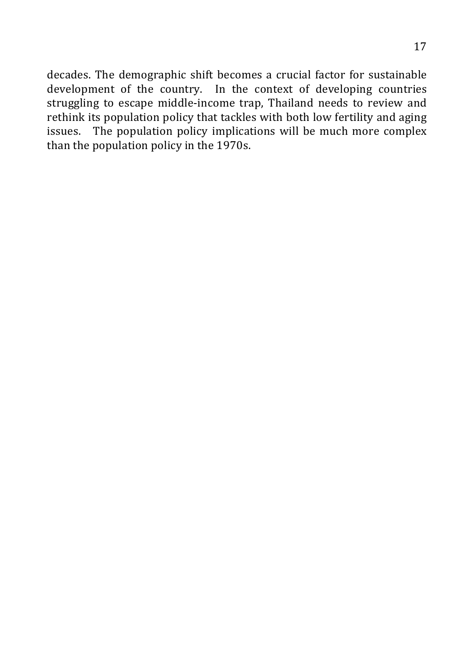17

decades. The demographic shift becomes a crucial factor for sustainable development of the country. In the context of developing countries struggling to escape middle-income trap, Thailand needs to review and rethink its population policy that tackles with both low fertility and aging issues. The population policy implications will be much more complex than the population policy in the 1970s.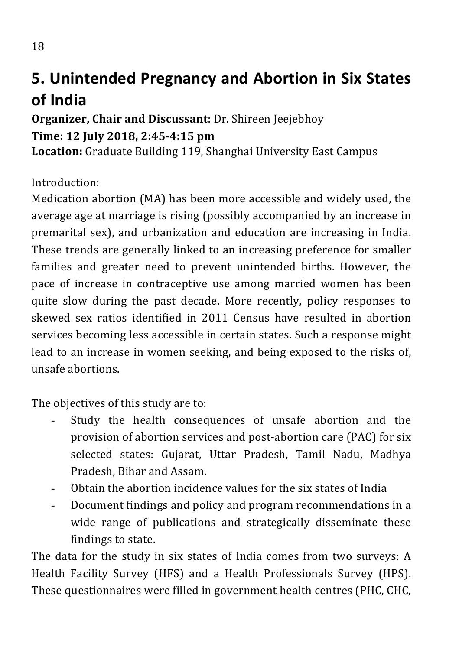# **5. Unintended Pregnancy and Abortion in Six States of India**

## **Organizer, Chair and Discussant:** Dr. Shireen Jeejebhoy **Time: 12 July 2018, 2:45-4:15 pm**

**Location:** Graduate Building 119, Shanghai University East Campus

Introduction:

Medication abortion (MA) has been more accessible and widely used, the average age at marriage is rising (possibly accompanied by an increase in premarital sex), and urbanization and education are increasing in India. These trends are generally linked to an increasing preference for smaller families and greater need to prevent unintended births. However, the pace of increase in contraceptive use among married women has been quite slow during the past decade. More recently, policy responses to skewed sex ratios identified in 2011 Census have resulted in abortion services becoming less accessible in certain states. Such a response might lead to an increase in women seeking, and being exposed to the risks of, unsafe abortions. 

The objectives of this study are to:

- Study the health consequences of unsafe abortion and the provision of abortion services and post-abortion care (PAC) for six selected states: Gujarat, Uttar Pradesh, Tamil Nadu, Madhya Pradesh, Bihar and Assam.
- Obtain the abortion incidence values for the six states of India
- Document findings and policy and program recommendations in a wide range of publications and strategically disseminate these findings to state.

The data for the study in six states of India comes from two surveys: A Health Facility Survey (HFS) and a Health Professionals Survey (HPS). These questionnaires were filled in government health centres (PHC, CHC,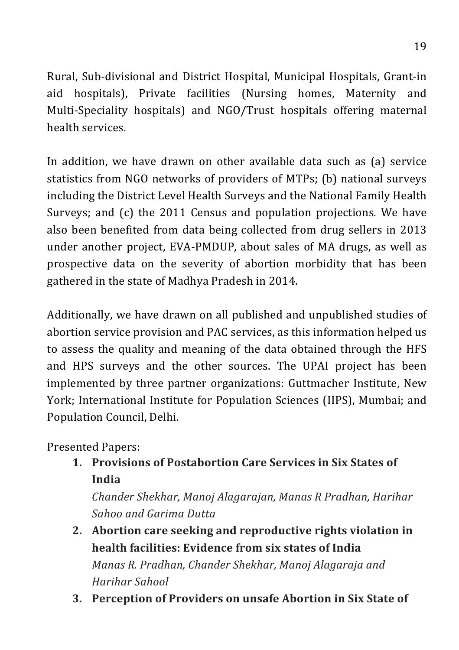Rural, Sub-divisional and District Hospital, Municipal Hospitals, Grant-in aid hospitals), Private facilities (Nursing homes, Maternity and Multi-Speciality hospitals) and NGO/Trust hospitals offering maternal health services

In addition, we have drawn on other available data such as (a) service statistics from NGO networks of providers of MTPs; (b) national surveys including the District Level Health Surveys and the National Family Health Surveys; and  $(c)$  the 2011 Census and population projections. We have also been benefited from data being collected from drug sellers in 2013 under another project, EVA-PMDUP, about sales of MA drugs, as well as prospective data on the severity of abortion morbidity that has been gathered in the state of Madhya Pradesh in 2014.

Additionally, we have drawn on all published and unpublished studies of abortion service provision and PAC services, as this information helped us to assess the quality and meaning of the data obtained through the HFS and HPS surveys and the other sources. The UPAI project has been implemented by three partner organizations: Guttmacher Institute, New York; International Institute for Population Sciences (IIPS), Mumbai; and Population Council, Delhi.

Presented Papers:

**1. Provisions of Postabortion Care Services in Six States of India** 

*Chander Shekhar, Manoj Alagarajan, Manas R Pradhan, Harihar Sahoo and Garima Dutta*

- 2. Abortion care seeking and reproductive rights violation in **health facilities: Evidence from six states of India** *Manas R. Pradhan, Chander Shekhar, Manoj Alagaraja and Harihar Sahool*
- **3. Perception of Providers on unsafe Abortion in Six State of**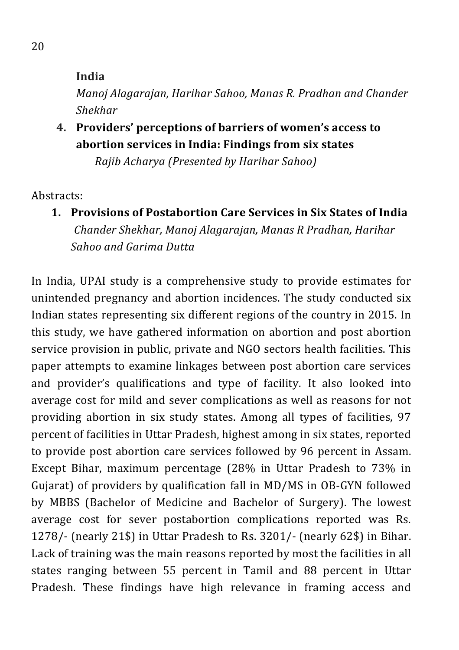**India**

*Manoj Alagarajan, Harihar Sahoo, Manas R. Pradhan and Chander Shekhar*

**4. Providers' perceptions of barriers of women's access to abortion services in India: Findings from six states**

 *Rajib Acharya (Presented by Harihar Sahoo)*

Abstracts:

**1. Provisions of Postabortion Care Services in Six States of India** *Chander Shekhar, Manoj Alagarajan, Manas R Pradhan, Harihar Sahoo and Garima Dutta*

In India, UPAI study is a comprehensive study to provide estimates for unintended pregnancy and abortion incidences. The study conducted six Indian states representing six different regions of the country in 2015. In this study, we have gathered information on abortion and post abortion service provision in public, private and NGO sectors health facilities. This paper attempts to examine linkages between post abortion care services and provider's qualifications and type of facility. It also looked into average cost for mild and sever complications as well as reasons for not providing abortion in six study states. Among all types of facilities, 97 percent of facilities in Uttar Pradesh, highest among in six states, reported to provide post abortion care services followed by 96 percent in Assam. Except Bihar, maximum percentage  $(28\%$  in Uttar Pradesh to  $73\%$  in Gujarat) of providers by qualification fall in MD/MS in OB-GYN followed by MBBS (Bachelor of Medicine and Bachelor of Surgery). The lowest average cost for sever postabortion complications reported was Rs. 1278/- (nearly 21\$) in Uttar Pradesh to Rs. 3201/- (nearly  $62\$ ) in Bihar. Lack of training was the main reasons reported by most the facilities in all states ranging between 55 percent in Tamil and 88 percent in Uttar Pradesh. These findings have high relevance in framing access and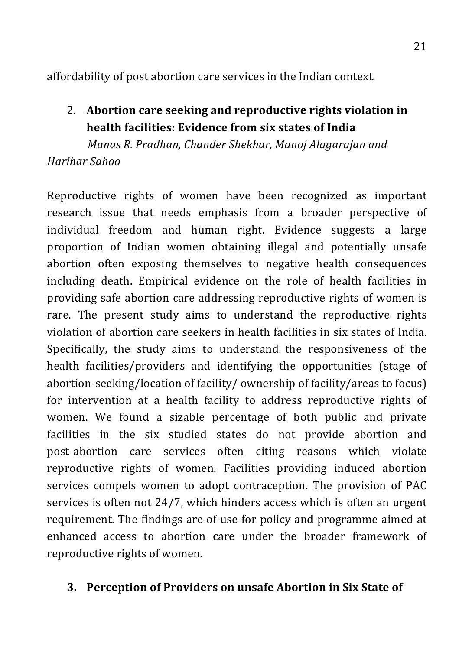affordability of post abortion care services in the Indian context.

2. Abortion care seeking and reproductive rights violation in **health facilities: Evidence from six states of India** 

 *Manas R. Pradhan, Chander Shekhar, Manoj Alagarajan and Harihar Sahoo*

Reproductive rights of women have been recognized as important research issue that needs emphasis from a broader perspective of individual freedom and human right. Evidence suggests a large proportion of Indian women obtaining illegal and potentially unsafe abortion often exposing themselves to negative health consequences including death. Empirical evidence on the role of health facilities in providing safe abortion care addressing reproductive rights of women is rare. The present study aims to understand the reproductive rights violation of abortion care seekers in health facilities in six states of India. Specifically, the study aims to understand the responsiveness of the health facilities/providers and identifying the opportunities (stage of abortion-seeking/location of facility/ ownership of facility/areas to focus) for intervention at a health facility to address reproductive rights of women. We found a sizable percentage of both public and private facilities in the six studied states do not provide abortion and post-abortion care services often citing reasons which violate reproductive rights of women. Facilities providing induced abortion services compels women to adopt contraception. The provision of PAC services is often not  $24/7$ , which hinders access which is often an urgent requirement. The findings are of use for policy and programme aimed at enhanced access to abortion care under the broader framework of reproductive rights of women.

#### **3. Perception of Providers on unsafe Abortion in Six State of**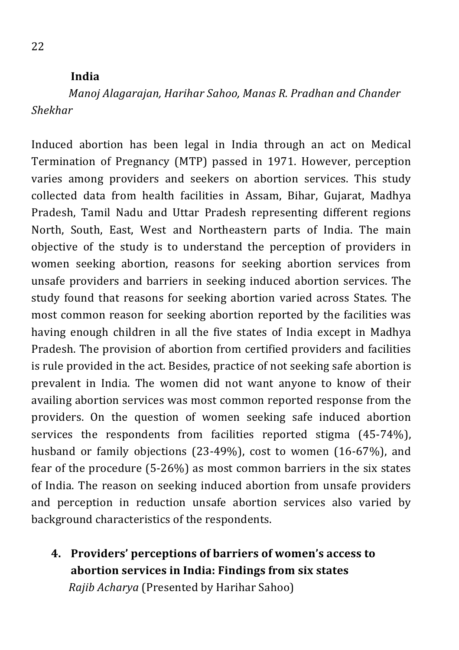#### **India**

*Manoj Alagarajan, Harihar Sahoo, Manas R. Pradhan and Chander Shekhar*

Induced abortion has been legal in India through an act on Medical Termination of Pregnancy (MTP) passed in 1971. However, perception varies among providers and seekers on abortion services. This study collected data from health facilities in Assam, Bihar, Gujarat, Madhya Pradesh, Tamil Nadu and Uttar Pradesh representing different regions North, South, East, West and Northeastern parts of India. The main objective of the study is to understand the perception of providers in women seeking abortion, reasons for seeking abortion services from unsafe providers and barriers in seeking induced abortion services. The study found that reasons for seeking abortion varied across States. The most common reason for seeking abortion reported by the facilities was having enough children in all the five states of India except in Madhya Pradesh. The provision of abortion from certified providers and facilities is rule provided in the act. Besides, practice of not seeking safe abortion is prevalent in India. The women did not want anyone to know of their availing abortion services was most common reported response from the providers. On the question of women seeking safe induced abortion services the respondents from facilities reported stigma  $(45-74%)$ , husband or family objections  $(23-49\%)$ , cost to women  $(16-67\%)$ , and fear of the procedure  $(5-26%)$  as most common barriers in the six states of India. The reason on seeking induced abortion from unsafe providers and perception in reduction unsafe abortion services also varied by background characteristics of the respondents.

**4. Providers' perceptions of barriers of women's access to abortion services in India: Findings from six states** *Rajib Acharya* (Presented by Harihar Sahoo)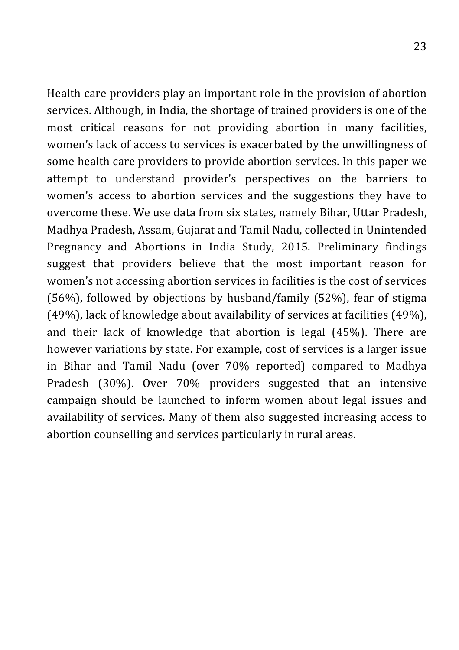Health care providers play an important role in the provision of abortion services. Although, in India, the shortage of trained providers is one of the most critical reasons for not providing abortion in many facilities, women's lack of access to services is exacerbated by the unwillingness of some health care providers to provide abortion services. In this paper we attempt to understand provider's perspectives on the barriers to women's access to abortion services and the suggestions they have to overcome these. We use data from six states, namely Bihar, Uttar Pradesh, Madhya Pradesh, Assam, Gujarat and Tamil Nadu, collected in Unintended Pregnancy and Abortions in India Study, 2015. Preliminary findings suggest that providers believe that the most important reason for women's not accessing abortion services in facilities is the cost of services (56%), followed by objections by husband/family (52%), fear of stigma (49%), lack of knowledge about availability of services at facilities (49%), and their lack of knowledge that abortion is legal  $(45%)$ . There are however variations by state. For example, cost of services is a larger issue in Bihar and Tamil Nadu (over 70% reported) compared to Madhya Pradesh (30%). Over 70% providers suggested that an intensive campaign should be launched to inform women about legal issues and availability of services. Many of them also suggested increasing access to abortion counselling and services particularly in rural areas.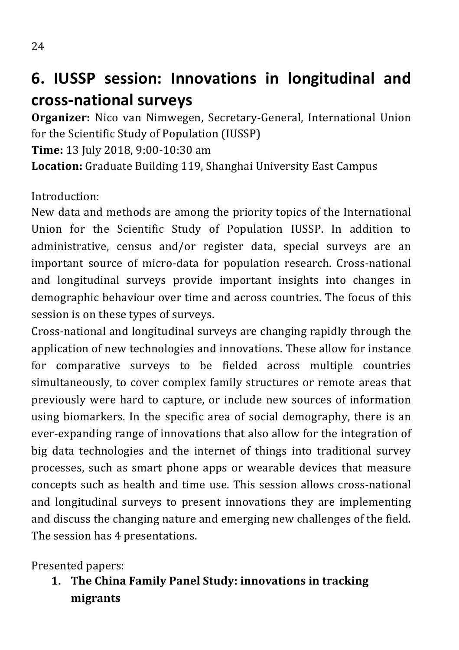# **6. IUSSP session: Innovations in longitudinal and cross-national surveys**

**Organizer:** Nico van Nimwegen, Secretary-General, International Union for the Scientific Study of Population (IUSSP)

**Time:** 13 July 2018, 9:00-10:30 am

Location: Graduate Building 119, Shanghai University East Campus

Introduction:

New data and methods are among the priority topics of the International Union for the Scientific Study of Population IUSSP. In addition to administrative, census and/or register data, special surveys are an important source of micro-data for population research. Cross-national and longitudinal surveys provide important insights into changes in demographic behaviour over time and across countries. The focus of this session is on these types of surveys.

Cross-national and longitudinal surveys are changing rapidly through the application of new technologies and innovations. These allow for instance for comparative surveys to be fielded across multiple countries simultaneously, to cover complex family structures or remote areas that previously were hard to capture, or include new sources of information using biomarkers. In the specific area of social demography, there is an ever-expanding range of innovations that also allow for the integration of big data technologies and the internet of things into traditional survey processes, such as smart phone apps or wearable devices that measure concepts such as health and time use. This session allows cross-national and longitudinal surveys to present innovations they are implementing and discuss the changing nature and emerging new challenges of the field. The session has 4 presentations.

Presented papers:

**1. The China Family Panel Study: innovations in tracking migrants**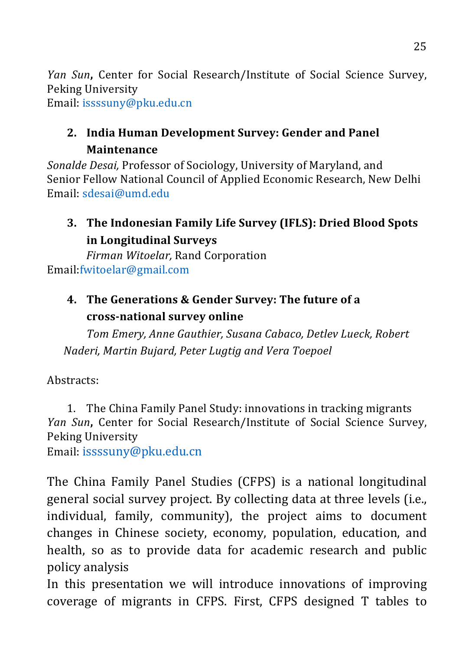*Yan Sun*, Center for Social Research/Institute of Social Science Survey, Peking University

Email: issssuny@pku.edu.cn

## 2. India Human Development Survey: Gender and Panel **Maintenance**

*Sonalde Desai, Professor of Sociology, University of Maryland, and* Senior Fellow National Council of Applied Economic Research, New Delhi Email: sdesai@umd.edu

## **3.** The Indonesian Family Life Survey (IFLS): Dried Blood Spots **in Longitudinal Surveys**

*Firman Witoelar, Rand Corporation* Email:fwitoelar@gmail.com

## **4.** The Generations & Gender Survey: The future of a **cross-national survey online**

*Tom Emery, Anne Gauthier, Susana Cabaco, Detlev Lueck, Robert Naderi, Martin Bujard, Peter Lugtig and Vera Toepoel*

Abstracts: 

1. The China Family Panel Study: innovations in tracking migrants Yan Sun, Center for Social Research/Institute of Social Science Survey, Peking University

Email: issssuny@pku.edu.cn

The China Family Panel Studies (CFPS) is a national longitudinal general social survey project. By collecting data at three levels (i.e., individual, family, community), the project aims to document changes in Chinese society, economy, population, education, and health, so as to provide data for academic research and public policy analysis

In this presentation we will introduce innovations of improving coverage of migrants in CFPS. First, CFPS designed T tables to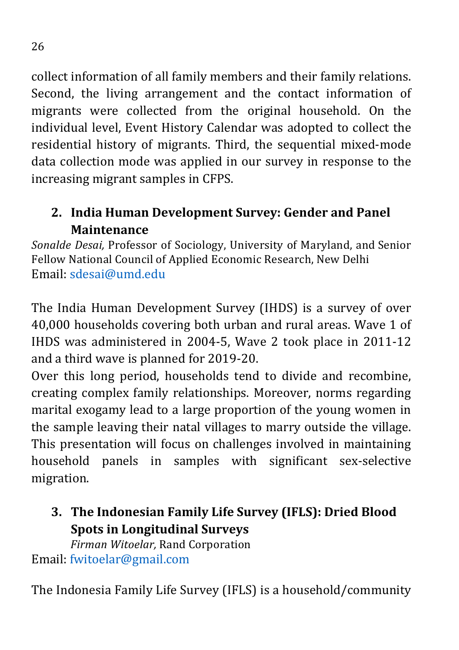collect information of all family members and their family relations. Second, the living arrangement and the contact information of migrants were collected from the original household. On the individual level, Event History Calendar was adopted to collect the residential history of migrants. Third, the sequential mixed-mode data collection mode was applied in our survey in response to the increasing migrant samples in CFPS.

## 2. India Human Development Survey: Gender and Panel **Maintenance**

*Sonalde Desai, Professor of Sociology, University of Maryland, and Senior* Fellow National Council of Applied Economic Research, New Delhi Email: sdesai@umd.edu

The India Human Development Survey (IHDS) is a survey of over 40,000 households covering both urban and rural areas. Wave 1 of IHDS was administered in 2004-5, Wave 2 took place in 2011-12 and a third wave is planned for 2019-20.

Over this long period, households tend to divide and recombine, creating complex family relationships. Moreover, norms regarding marital exogamy lead to a large proportion of the young women in the sample leaving their natal villages to marry outside the village. This presentation will focus on challenges involved in maintaining household panels in samples with significant sex-selective migration. 

**3. The Indonesian Family Life Survey (IFLS): Dried Blood Spots in Longitudinal Surveys** 

*Firman Witoelar, Rand Corporation* Email: fwitoelar@gmail.com

The Indonesia Family Life Survey (IFLS) is a household/community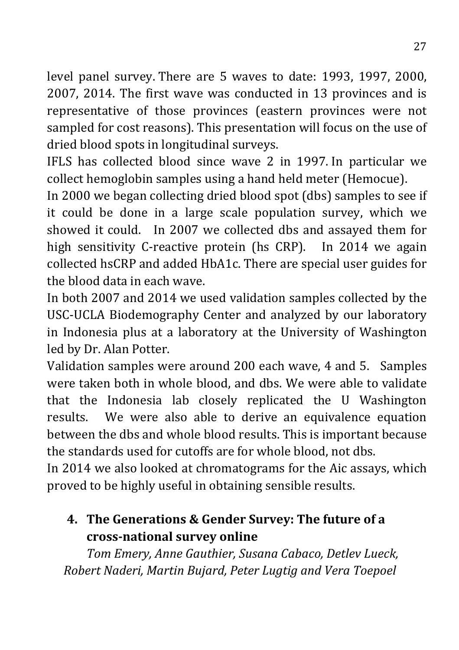level panel survey. There are 5 waves to date: 1993, 1997, 2000, 2007, 2014. The first wave was conducted in 13 provinces and is representative of those provinces (eastern provinces were not sampled for cost reasons). This presentation will focus on the use of dried blood spots in longitudinal surveys.

IFLS has collected blood since wave 2 in 1997. In particular we collect hemoglobin samples using a hand held meter (Hemocue).

In 2000 we began collecting dried blood spot (dbs) samples to see if it could be done in a large scale population survey, which we showed it could. In 2007 we collected dbs and assayed them for high sensitivity C-reactive protein (hs CRP). In 2014 we again collected hsCRP and added HbA1c. There are special user guides for the blood data in each wave.

In both 2007 and 2014 we used validation samples collected by the USC-UCLA Biodemography Center and analyzed by our laboratory in Indonesia plus at a laboratory at the University of Washington led by Dr. Alan Potter.

Validation samples were around 200 each wave, 4 and 5. Samples were taken both in whole blood, and dbs. We were able to validate that the Indonesia lab closely replicated the U Washington results. We were also able to derive an equivalence equation between the dbs and whole blood results. This is important because the standards used for cutoffs are for whole blood, not dbs.

In 2014 we also looked at chromatograms for the Aic assays, which proved to be highly useful in obtaining sensible results.

## **4.** The Generations & Gender Survey: The future of a **cross-national survey online**

**Tom Emery, Anne Gauthier, Susana Cabaco, Detlev Lueck,** *Robert Naderi, Martin Bujard, Peter Lugtig and Vera Toepoel*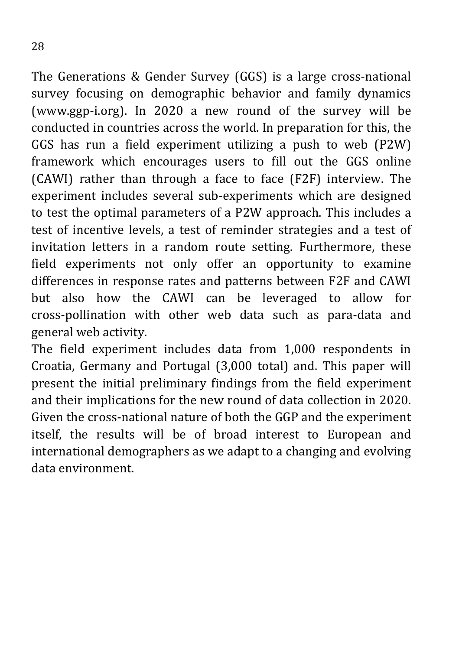The Generations  $&$  Gender Survey (GGS) is a large cross-national survey focusing on demographic behavior and family dynamics (www.ggp-i.org). In 2020 a new round of the survey will be conducted in countries across the world. In preparation for this, the GGS has run a field experiment utilizing a push to web (P2W) framework which encourages users to fill out the GGS online (CAWI) rather than through a face to face (F2F) interview. The experiment includes several sub-experiments which are designed to test the optimal parameters of a P2W approach. This includes a test of incentive levels, a test of reminder strategies and a test of invitation letters in a random route setting. Furthermore, these field experiments not only offer an opportunity to examine differences in response rates and patterns between F2F and CAWI but also how the CAWI can be leveraged to allow for cross-pollination with other web data such as para-data and general web activity.

The field experiment includes data from 1,000 respondents in Croatia, Germany and Portugal (3,000 total) and. This paper will present the initial preliminary findings from the field experiment and their implications for the new round of data collection in 2020. Given the cross-national nature of both the GGP and the experiment itself, the results will be of broad interest to European and international demographers as we adapt to a changing and evolving data environment.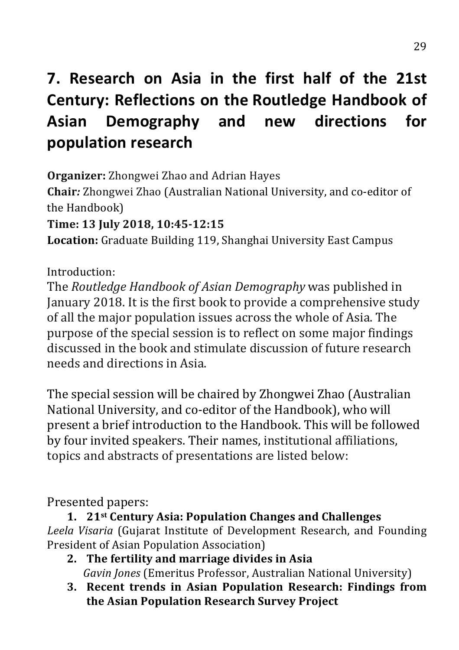# **7. Research on Asia in the first half of the 21st Century: Reflections on the Routledge Handbook of Asian Demography and new directions for population research**

**Organizer:** Zhongwei Zhao and Adrian Hayes **Chair**: Zhongwei Zhao (Australian National University, and co-editor of the Handbook) **Time: 13 July 2018, 10:45-12:15 Location:** Graduate Building 119, Shanghai University East Campus

Introduction:

The *Routledge Handbook of Asian Demography* was published in January 2018. It is the first book to provide a comprehensive study of all the major population issues across the whole of Asia. The purpose of the special session is to reflect on some major findings discussed in the book and stimulate discussion of future research needs and directions in Asia.

The special session will be chaired by Zhongwei Zhao (Australian National University, and co-editor of the Handbook), who will present a brief introduction to the Handbook. This will be followed by four invited speakers. Their names, institutional affiliations, topics and abstracts of presentations are listed below:

Presented papers:

**1. 21st Century Asia: Population Changes and Challenges** Leela Visaria (Gujarat Institute of Development Research, and Founding President of Asian Population Association)

- **2.** The fertility and marriage divides in Asia *Gavin Jones* (Emeritus Professor, Australian National University)
- **3. Recent trends in Asian Population Research: Findings from the Asian Population Research Survey Project**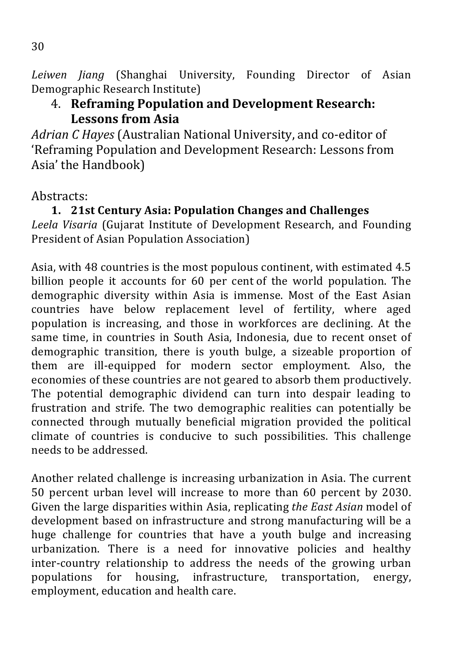*Leiwen Jiang* (Shanghai University, Founding Director of Asian Demographic Research Institute)

### 4. **Reframing Population and Development Research:** Lessons from Asia

Adrian *C* Hayes (Australian National University, and co-editor of 'Reframing Population and Development Research: Lessons from Asia' the Handbook)

### Abstracts:

**1. 21st Century Asia: Population Changes and Challenges** Leela Visaria (Gujarat Institute of Development Research, and Founding President of Asian Population Association)

Asia, with 48 countries is the most populous continent, with estimated 4.5 billion people it accounts for 60 per cent of the world population. The demographic diversity within Asia is immense. Most of the East Asian countries have below replacement level of fertility, where aged population is increasing, and those in workforces are declining. At the same time, in countries in South Asia, Indonesia, due to recent onset of demographic transition, there is youth bulge, a sizeable proportion of them are ill-equipped for modern sector employment. Also, the economies of these countries are not geared to absorb them productively. The potential demographic dividend can turn into despair leading to frustration and strife. The two demographic realities can potentially be connected through mutually beneficial migration provided the political climate of countries is conducive to such possibilities. This challenge needs to be addressed.

Another related challenge is increasing urbanization in Asia. The current 50 percent urban level will increase to more than 60 percent by 2030. Given the large disparities within Asia, replicating the East Asian model of development based on infrastructure and strong manufacturing will be a huge challenge for countries that have a youth bulge and increasing urbanization. There is a need for innovative policies and healthy inter-country relationship to address the needs of the growing urban populations for housing, infrastructure, transportation, energy, employment, education and health care.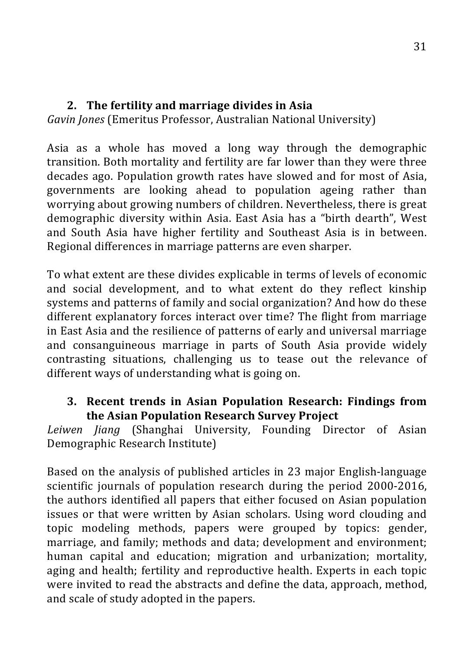#### **2.** The fertility and marriage divides in Asia

*Gavin Jones* (Emeritus Professor, Australian National University)

Asia as a whole has moved a long way through the demographic transition. Both mortality and fertility are far lower than they were three decades ago. Population growth rates have slowed and for most of Asia. governments are looking ahead to population ageing rather than worrying about growing numbers of children. Nevertheless, there is great demographic diversity within Asia. East Asia has a "birth dearth", West and South Asia have higher fertility and Southeast Asia is in between. Regional differences in marriage patterns are even sharper.

To what extent are these divides explicable in terms of levels of economic and social development, and to what extent do they reflect kinship systems and patterns of family and social organization? And how do these different explanatory forces interact over time? The flight from marriage in East Asia and the resilience of patterns of early and universal marriage and consanguineous marriage in parts of South Asia provide widely contrasting situations, challenging us to tease out the relevance of different ways of understanding what is going on.

#### **3.** Recent trends in Asian Population Research: Findings from **the Asian Population Research Survey Project**

Leiwen *Jiang* (Shanghai University, Founding Director of Asian Demographic Research Institute)

Based on the analysis of published articles in 23 major English-language scientific journals of population research during the period 2000-2016, the authors identified all papers that either focused on Asian population issues or that were written by Asian scholars. Using word clouding and topic modeling methods, papers were grouped by topics: gender, marriage, and family; methods and data; development and environment; human capital and education; migration and urbanization; mortality, aging and health; fertility and reproductive health. Experts in each topic were invited to read the abstracts and define the data, approach, method, and scale of study adopted in the papers.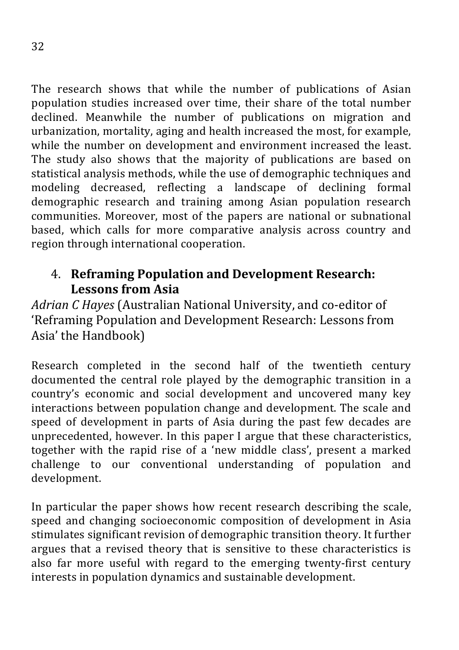The research shows that while the number of publications of Asian population studies increased over time, their share of the total number declined. Meanwhile the number of publications on migration and urbanization, mortality, aging and health increased the most, for example, while the number on development and environment increased the least. The study also shows that the majority of publications are based on statistical analysis methods, while the use of demographic techniques and modeling decreased, reflecting a landscape of declining formal demographic research and training among Asian population research communities. Moreover, most of the papers are national or subnational based, which calls for more comparative analysis across country and region through international cooperation.

### 4. **Reframing Population and Development Research: Lessons from Asia**

Adrian *C* Hayes (Australian National University, and co-editor of 'Reframing Population and Development Research: Lessons from Asia' the Handbook)

Research completed in the second half of the twentieth century documented the central role played by the demographic transition in a country's economic and social development and uncovered many key interactions between population change and development. The scale and speed of development in parts of Asia during the past few decades are unprecedented, however. In this paper I argue that these characteristics, together with the rapid rise of a 'new middle class', present a marked challenge to our conventional understanding of population and development.

In particular the paper shows how recent research describing the scale, speed and changing socioeconomic composition of development in Asia stimulates significant revision of demographic transition theory. It further argues that a revised theory that is sensitive to these characteristics is also far more useful with regard to the emerging twenty-first century interests in population dynamics and sustainable development.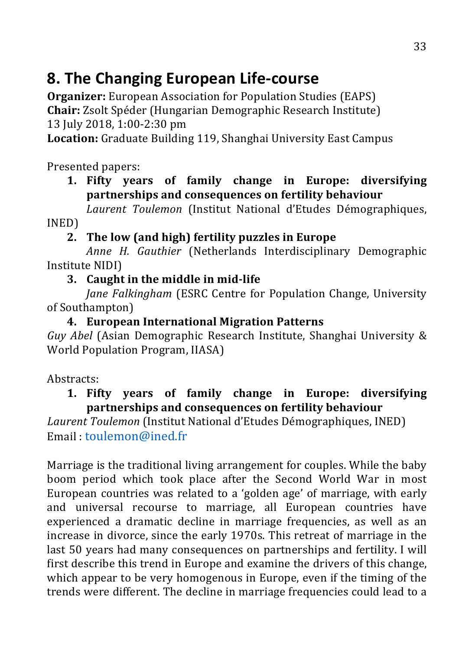## **8. The Changing European Life-course**

**Organizer:** European Association for Population Studies (EAPS) **Chair:** Zsolt Spéder (Hungarian Demographic Research Institute) 13 July 2018, 1:00-2:30 pm

**Location:** Graduate Building 119, Shanghai University East Campus

Presented papers:

#### **1. Fifty years of family change in Europe: diversifying partnerships and consequences on fertility behaviour**

*Laurent Toulemon* (Institut National d'Etudes Démographiques, INED)

### 2. The low (and high) fertility puzzles in Europe

*Anne H. Gauthier* (Netherlands Interdisciplinary Demographic Institute NIDI)

#### **3.** Caught in the middle in mid-life

*Iane Falkingham* (ESRC Centre for Population Change, University of Southampton)

#### **4. European International Migration Patterns**

*Guy Abel* (Asian Demographic Research Institute, Shanghai University & World Population Program, IIASA)

Abstracts:

#### 1. Fifty vears of family change in Europe: diversifying partnerships and consequences on fertility behaviour

Laurent Toulemon (Institut National d'Etudes Démographiques, INED) Email toulemon@ined.fr

Marriage is the traditional living arrangement for couples. While the baby boom period which took place after the Second World War in most European countries was related to a 'golden age' of marriage, with early and universal recourse to marriage, all European countries have experienced a dramatic decline in marriage frequencies, as well as an increase in divorce, since the early 1970s. This retreat of marriage in the last 50 years had many consequences on partnerships and fertility. I will first describe this trend in Europe and examine the drivers of this change, which appear to be very homogenous in Europe, even if the timing of the trends were different. The decline in marriage frequencies could lead to a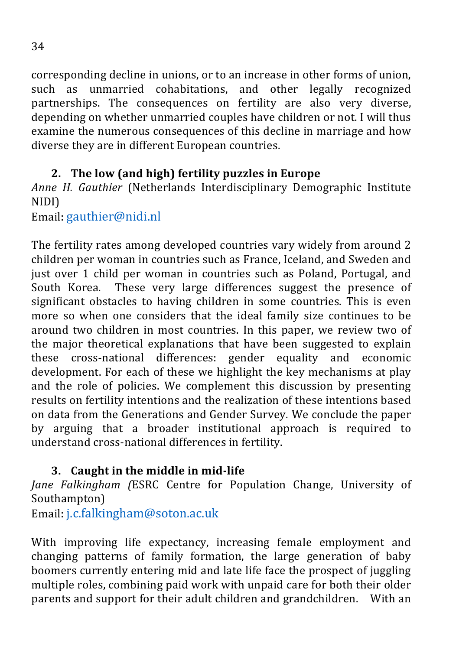corresponding decline in unions, or to an increase in other forms of union, such as unmarried cohabitations, and other legally recognized partnerships. The consequences on fertility are also very diverse, depending on whether unmarried couples have children or not. I will thus examine the numerous consequences of this decline in marriage and how diverse they are in different European countries.

### **2.** The low (and high) fertility puzzles in Europe

Anne H. Gauthier (Netherlands Interdisciplinary Demographic Institute NIDI)

Email: gauthier@nidi.nl

The fertility rates among developed countries vary widely from around 2 children per woman in countries such as France, Iceland, and Sweden and just over 1 child per woman in countries such as Poland, Portugal, and South Korea. These very large differences suggest the presence of significant obstacles to having children in some countries. This is even more so when one considers that the ideal family size continues to be around two children in most countries. In this paper, we review two of the major theoretical explanations that have been suggested to explain these cross-national differences: gender equality and economic development. For each of these we highlight the key mechanisms at play and the role of policies. We complement this discussion by presenting results on fertility intentions and the realization of these intentions based on data from the Generations and Gender Survey. We conclude the paper by arguing that a broader institutional approach is required to understand cross-national differences in fertility.

### **3.** Caught in the middle in mid-life

*Jane Falkingham (ESRC Centre for Population Change, University of* Southampton)

Email: j.c.falkingham@soton.ac.uk

With improving life expectancy, increasing female employment and changing patterns of family formation, the large generation of baby boomers currently entering mid and late life face the prospect of juggling multiple roles, combining paid work with unpaid care for both their older parents and support for their adult children and grandchildren. With an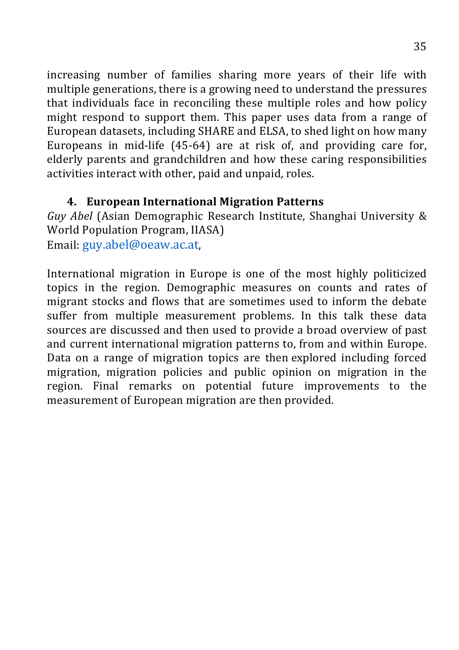increasing number of families sharing more years of their life with multiple generations, there is a growing need to understand the pressures that individuals face in reconciling these multiple roles and how policy might respond to support them. This paper uses data from a range of European datasets, including SHARE and ELSA, to shed light on how many Europeans in mid-life  $(45-64)$  are at risk of, and providing care for, elderly parents and grandchildren and how these caring responsibilities activities interact with other, paid and unpaid, roles.

#### **4. European International Migration Patterns**

*Guy Abel* (Asian Demographic Research Institute, Shanghai University & World Population Program, IIASA) Email: guy.abel@oeaw.ac.at,

International migration in Europe is one of the most highly politicized topics in the region. Demographic measures on counts and rates of migrant stocks and flows that are sometimes used to inform the debate suffer from multiple measurement problems. In this talk these data sources are discussed and then used to provide a broad overview of past and current international migration patterns to, from and within Europe. Data on a range of migration topics are then explored including forced migration, migration policies and public opinion on migration in the region. Final remarks on potential future improvements to the measurement of European migration are then provided.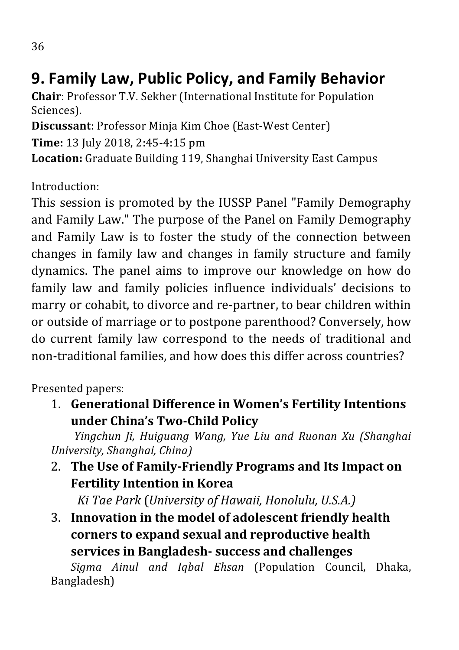## **9. Family Law, Public Policy, and Family Behavior**

**Chair:** Professor T.V. Sekher (International Institute for Population Sciences).

**Discussant:** Professor Minja Kim Choe (East-West Center) **Time:** 13 July 2018, 2:45-4:15 pm **Location:** Graduate Building 119, Shanghai University East Campus

Introduction:

This session is promoted by the IUSSP Panel "Family Demography and Family Law." The purpose of the Panel on Family Demography and Family Law is to foster the study of the connection between changes in family law and changes in family structure and family dynamics. The panel aims to improve our knowledge on how do family law and family policies influence individuals' decisions to marry or cohabit, to divorce and re-partner, to bear children within or outside of marriage or to postpone parenthood? Conversely, how do current family law correspond to the needs of traditional and non-traditional families, and how does this differ across countries?

Presented papers:

1. **Generational Difference in Women's Fertility Intentions under China's Two-Child Policy**

*Yingchun Ji, Huiguang Wang, Yue Liu and Ruonan Xu (Shanghai University, Shanghai, China)*

2. The Use of Family-Friendly Programs and Its Impact on **Fertility Intention in Korea** 

*Ki Tae Park* (*University of Hawaii, Honolulu, U.S.A.*)

3. Innovation in the model of adolescent friendly health corners to expand sexual and reproductive health **services** in Bangladesh- success and challenges

Sigma Ainul and Iqbal Ehsan (Population Council, Dhaka, Bangladesh)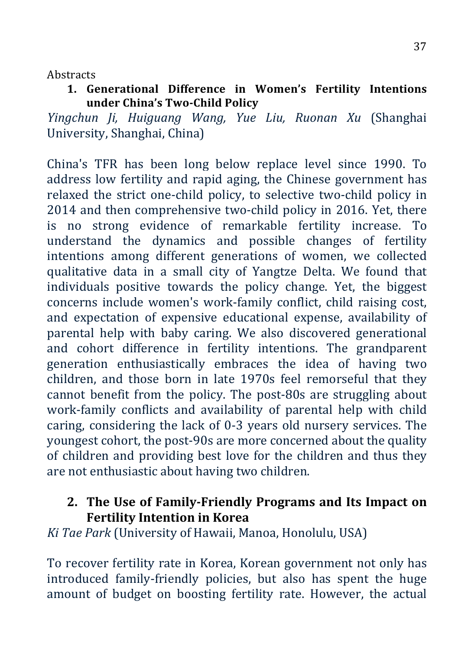**Abstracts** 

**1. Generational Difference in Women's Fertility Intentions under China's Two-Child Policy**

*Yingchun Ji, Huiguang Wang, Yue Liu, Ruonan Xu* (Shanghai University, Shanghai, China)

China's TFR has been long below replace level since 1990. To address low fertility and rapid aging, the Chinese government has relaxed the strict one-child policy, to selective two-child policy in 2014 and then comprehensive two-child policy in 2016. Yet, there is no strong evidence of remarkable fertility increase. To understand the dynamics and possible changes of fertility intentions among different generations of women, we collected qualitative data in a small city of Yangtze Delta. We found that individuals positive towards the policy change. Yet, the biggest concerns include women's work-family conflict, child raising cost, and expectation of expensive educational expense, availability of parental help with baby caring. We also discovered generational and cohort difference in fertility intentions. The grandparent generation enthusiastically embraces the idea of having two children, and those born in late 1970s feel remorseful that they cannot benefit from the policy. The post-80s are struggling about work-family conflicts and availability of parental help with child caring, considering the lack of 0-3 years old nursery services. The youngest cohort, the post-90s are more concerned about the quality of children and providing best love for the children and thus they are not enthusiastic about having two children.

### **2. The Use of Family-Friendly Programs and Its Impact on Fertility Intention in Korea**

*Ki Tae Park* (University of Hawaii, Manoa, Honolulu, USA)

To recover fertility rate in Korea, Korean government not only has introduced family-friendly policies, but also has spent the huge amount of budget on boosting fertility rate. However, the actual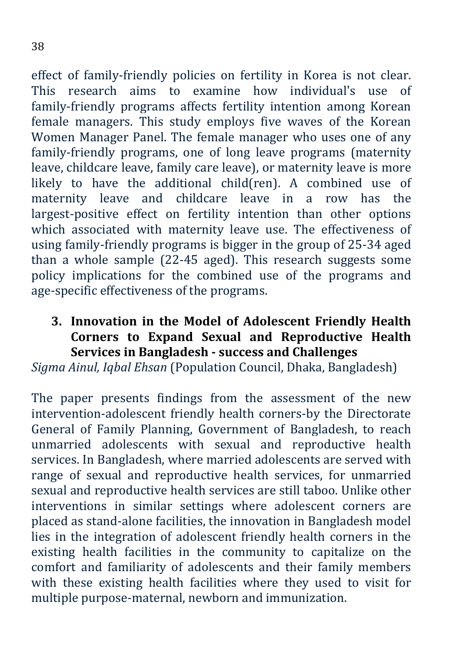effect of family-friendly policies on fertility in Korea is not clear. This research aims to examine how individual's use of family-friendly programs affects fertility intention among Korean female managers. This study employs five waves of the Korean Women Manager Panel. The female manager who uses one of any family-friendly programs, one of long leave programs (maternity leave, childcare leave, family care leave), or maternity leave is more likely to have the additional child(ren). A combined use of maternity leave and childcare leave in a row has the largest-positive effect on fertility intention than other options which associated with maternity leave use. The effectiveness of using family-friendly programs is bigger in the group of 25-34 aged than a whole sample  $(22-45 \text{ aged})$ . This research suggests some policy implications for the combined use of the programs and age-specific effectiveness of the programs.

**3. Innovation in the Model of Adolescent Friendly Health Corners to Expand Sexual and Reproductive Health Services in Bangladesh - success and Challenges**

*Sigma Ainul, Igbal Ehsan* (Population Council, Dhaka, Bangladesh)

The paper presents findings from the assessment of the new intervention-adolescent friendly health corners-by the Directorate General of Family Planning, Government of Bangladesh, to reach unmarried adolescents with sexual and reproductive health services. In Bangladesh, where married adolescents are served with range of sexual and reproductive health services, for unmarried sexual and reproductive health services are still taboo. Unlike other interventions in similar settings where adolescent corners are placed as stand-alone facilities, the innovation in Bangladesh model lies in the integration of adolescent friendly health corners in the existing health facilities in the community to capitalize on the comfort and familiarity of adolescents and their family members with these existing health facilities where they used to visit for multiple purpose-maternal, newborn and immunization.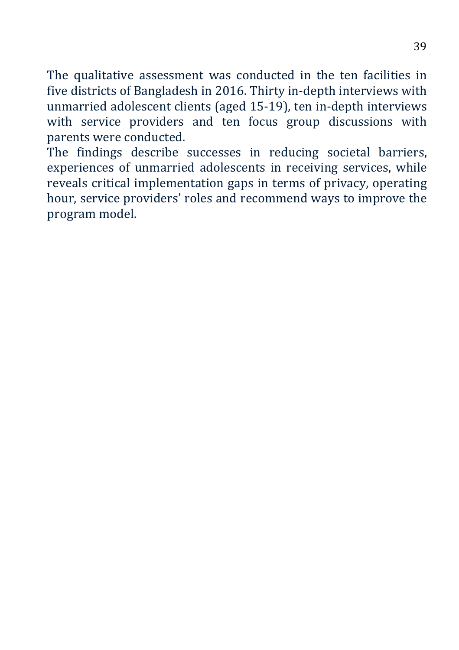The qualitative assessment was conducted in the ten facilities in five districts of Bangladesh in 2016. Thirty in-depth interviews with unmarried adolescent clients (aged 15-19), ten in-depth interviews with service providers and ten focus group discussions with parents were conducted.

The findings describe successes in reducing societal barriers, experiences of unmarried adolescents in receiving services, while reveals critical implementation gaps in terms of privacy, operating hour, service providers' roles and recommend ways to improve the program model.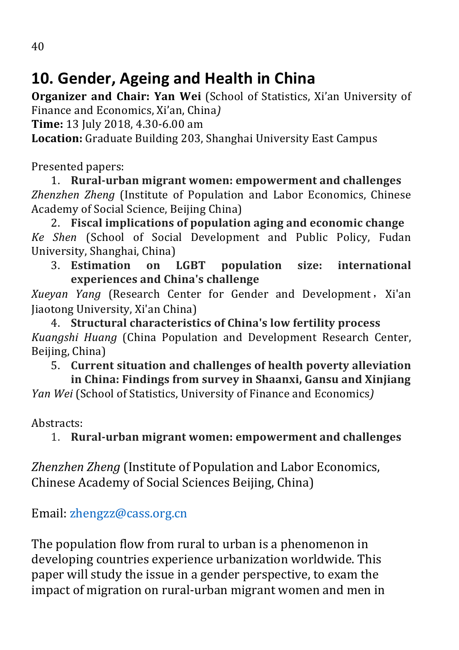## 10. Gender, Ageing and Health in China

**Organizer and Chair: Yan Wei** (School of Statistics, Xi'an University of Finance and Economics, Xi'an, China*l* 

**Time:** 13 July 2018, 4.30-6.00 am

**Location:** Graduate Building 203, Shanghai University East Campus

Presented papers:

1. **Rural-urban migrant women: empowerment and challenges** *Zhenzhen Zheng* (Institute of Population and Labor Economics, Chinese Academy of Social Science, Beijing China)

2. Fiscal implications of population aging and economic change *Ke Shen* (School of Social Development and Public Policy, Fudan University, Shanghai, China)

3. **Estimation on LGBT population size: international experiences and China's challenge**

*Xueyan Yang* (Research Center for Gender and Development, Xi'an Jiaotong University, Xi'an China)

4. **Structural characteristics of China's low fertility process** *Kuangshi Huang* (China Population and Development Research Center, Beijing, China)

5. Current situation and challenges of health poverty alleviation

in China: Findings from survey in Shaanxi, Gansu and Xinjiang *Yan Wei* (School of Statistics, University of Finance and Economics)

Abstracts:

1. Rural-urban migrant women: empowerment and challenges

*Zhenzhen Zheng* (Institute of Population and Labor Economics, Chinese Academy of Social Sciences Beijing, China)

Email: zhengzz@cass.org.cn

The population flow from rural to urban is a phenomenon in developing countries experience urbanization worldwide. This paper will study the issue in a gender perspective, to exam the impact of migration on rural-urban migrant women and men in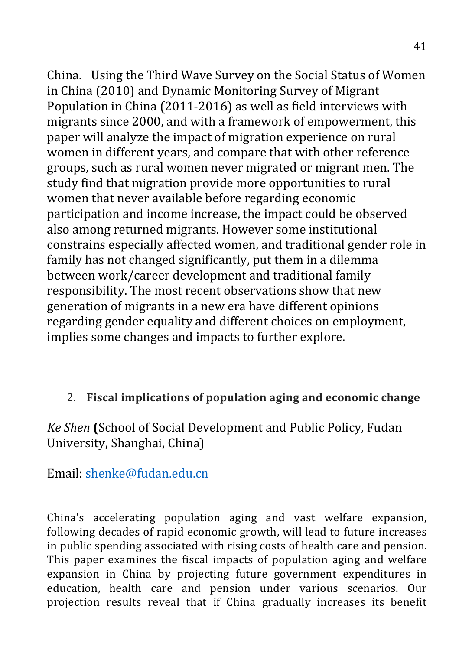China. Using the Third Wave Survey on the Social Status of Women in China (2010) and Dynamic Monitoring Survey of Migrant Population in China (2011-2016) as well as field interviews with migrants since 2000, and with a framework of empowerment, this paper will analyze the impact of migration experience on rural women in different years, and compare that with other reference groups, such as rural women never migrated or migrant men. The study find that migration provide more opportunities to rural women that never available before regarding economic participation and income increase, the impact could be observed also among returned migrants. However some institutional constrains especially affected women, and traditional gender role in family has not changed significantly, put them in a dilemma between work/career development and traditional family responsibility. The most recent observations show that new generation of migrants in a new era have different opinions regarding gender equality and different choices on employment, implies some changes and impacts to further explore.

### 2. Fiscal implications of population aging and economic change

Ke Shen **(**School of Social Development and Public Policy, Fudan University, Shanghai, China)

Email: shenke@fudan.edu.cn

China's accelerating population aging and vast welfare expansion, following decades of rapid economic growth, will lead to future increases in public spending associated with rising costs of health care and pension. This paper examines the fiscal impacts of population aging and welfare expansion in China by projecting future government expenditures in education, health care and pension under various scenarios. Our projection results reveal that if China gradually increases its benefit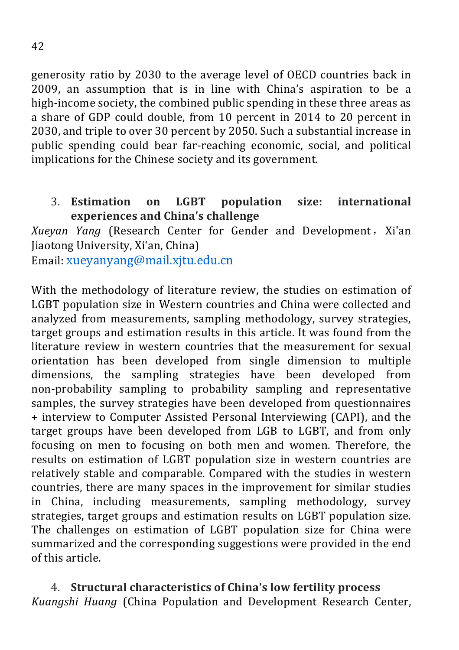generosity ratio by 2030 to the average level of OECD countries back in 2009, an assumption that is in line with China's aspiration to be a high-income society, the combined public spending in these three areas as a share of GDP could double, from 10 percent in 2014 to 20 percent in 2030, and triple to over 30 percent by 2050. Such a substantial increase in public spending could bear far-reaching economic, social, and political implications for the Chinese society and its government.

#### 3. **Estimation** on LGBT population size: international **experiences and China's challenge**

*Xueyan Yang* (Research Center for Gender and Development, Xi'an Jiaotong University, Xi'an, China)

Email: xueyanyang@mail.xjtu.edu.cn

With the methodology of literature review, the studies on estimation of LGBT population size in Western countries and China were collected and analyzed from measurements, sampling methodology, survey strategies, target groups and estimation results in this article. It was found from the literature review in western countries that the measurement for sexual orientation has been developed from single dimension to multiple dimensions, the sampling strategies have been developed from non-probability sampling to probability sampling and representative samples, the survey strategies have been developed from questionnaires + interview to Computer Assisted Personal Interviewing (CAPI), and the target groups have been developed from LGB to LGBT, and from only focusing on men to focusing on both men and women. Therefore, the results on estimation of LGBT population size in western countries are relatively stable and comparable. Compared with the studies in western countries, there are many spaces in the improvement for similar studies in China, including measurements, sampling methodology, survey strategies, target groups and estimation results on LGBT population size. The challenges on estimation of LGBT population size for China were summarized and the corresponding suggestions were provided in the end of this article.

4. **Structural characteristics of China's low fertility process** *Kuangshi Huang* (China Population and Development Research Center,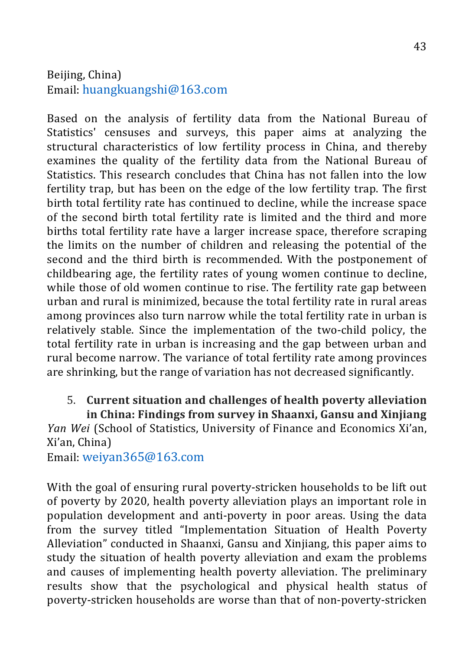#### Beijing, China) Email: huangkuangshi@163.com

Based on the analysis of fertility data from the National Bureau of Statistics' censuses and surveys, this paper aims at analyzing the structural characteristics of low fertility process in China, and thereby examines the quality of the fertility data from the National Bureau of Statistics. This research concludes that China has not fallen into the low fertility trap, but has been on the edge of the low fertility trap. The first birth total fertility rate has continued to decline, while the increase space of the second birth total fertility rate is limited and the third and more births total fertility rate have a larger increase space, therefore scraping the limits on the number of children and releasing the potential of the second and the third birth is recommended. With the postponement of childbearing age, the fertility rates of young women continue to decline, while those of old women continue to rise. The fertility rate gap between urban and rural is minimized, because the total fertility rate in rural areas among provinces also turn narrow while the total fertility rate in urban is relatively stable. Since the implementation of the two-child policy, the total fertility rate in urban is increasing and the gap between urban and rural become narrow. The variance of total fertility rate among provinces are shrinking, but the range of variation has not decreased significantly.

#### 5. **Current situation and challenges of health poverty alleviation** in China: Findings from survey in Shaanxi, Gansu and Xinjiang

*Yan Wei* (School of Statistics, University of Finance and Economics Xi'an, Xi'an, China)

Email: weiyan365@163.com

With the goal of ensuring rural poverty-stricken households to be lift out of poverty by 2020, health poverty alleviation plays an important role in population development and anti-poverty in poor areas. Using the data from the survey titled "Implementation Situation of Health Poverty Alleviation" conducted in Shaanxi, Gansu and Xinjiang, this paper aims to study the situation of health poverty alleviation and exam the problems and causes of implementing health poverty alleviation. The preliminary results show that the psychological and physical health status of poverty-stricken households are worse than that of non-poverty-stricken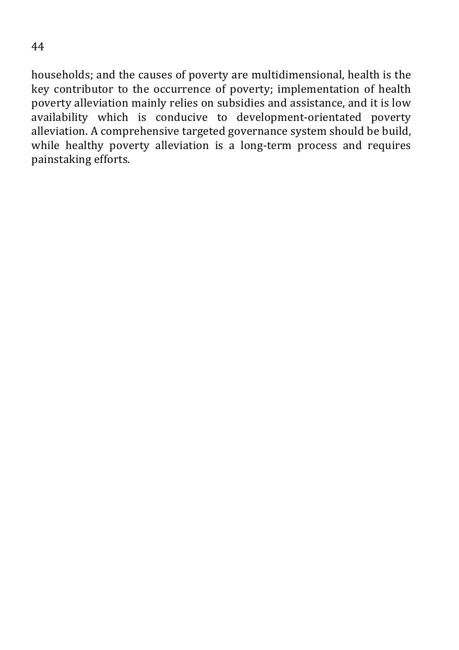households; and the causes of poverty are multidimensional, health is the key contributor to the occurrence of poverty; implementation of health poverty alleviation mainly relies on subsidies and assistance, and it is low availability which is conducive to development-orientated poverty alleviation. A comprehensive targeted governance system should be build, while healthy poverty alleviation is a long-term process and requires painstaking efforts.

44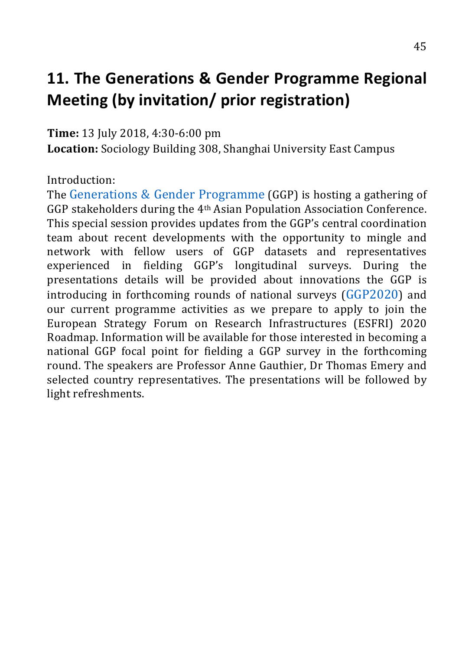# **11.** The Generations & Gender Programme Regional **Meeting (by invitation/ prior registration)**

**Time:** 13 July 2018, 4:30-6:00 pm

**Location:** Sociology Building 308, Shanghai University East Campus

Introduction:

The Generations  $& \text{Gender Programme (GGP)}$  is hosting a gathering of GGP stakeholders during the 4<sup>th</sup> Asian Population Association Conference. This special session provides updates from the GGP's central coordination team about recent developments with the opportunity to mingle and network with fellow users of GGP datasets and representatives experienced in fielding GGP's longitudinal surveys. During the presentations details will be provided about innovations the GGP is introducing in forthcoming rounds of national surveys  $(GGP2020)$  and our current programme activities as we prepare to apply to join the European Strategy Forum on Research Infrastructures (ESFRI) 2020 Roadmap. Information will be available for those interested in becoming a national GGP focal point for fielding a GGP survey in the forthcoming round. The speakers are Professor Anne Gauthier, Dr Thomas Emery and selected country representatives. The presentations will be followed by light refreshments.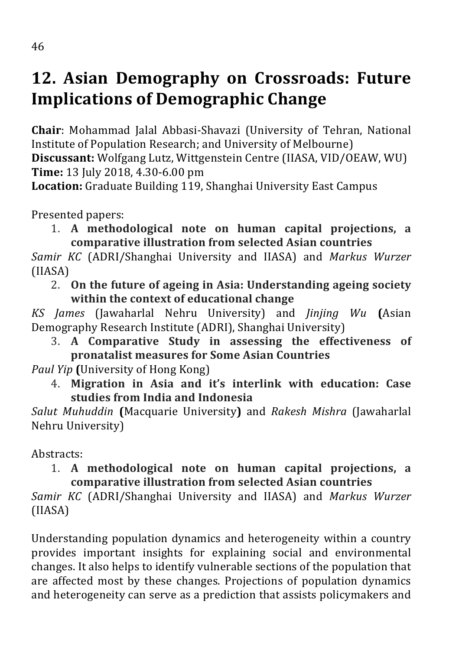# 12. Asian Demography on Crossroads: Future **Implications of Demographic Change**

**Chair:** Mohammad Jalal Abbasi-Shavazi (University of Tehran, National Institute of Population Research; and University of Melbourne) **Discussant:** Wolfgang Lutz, Wittgenstein Centre (IIASA, VID/OEAW, WU) **Time:** 13 July 2018, 4.30-6.00 pm

**Location:** Graduate Building 119, Shanghai University East Campus

Presented papers:

1. **A methodological note on human capital projections, a**  comparative illustration from selected Asian countries

*Samir KC* (ADRI/Shanghai University and IIASA) and *Markus Wurzer* (IIASA)

2. On the future of ageing in Asia: Understanding ageing society **within the context of educational change** 

*KS James* (Jawaharlal Nehru University) and *Jinjing Wu* **(**Asian Demography Research Institute (ADRI), Shanghai University)

3. A Comparative Study in assessing the effectiveness of **pronatalist measures for Some Asian Countries** 

*Paul Yip* (University of Hong Kong)

4. Migration in Asia and it's interlink with education: Case **studies from India and Indonesia**

*Salut Muhuddin* **(**Macquarie University**)** and *Rakesh Mishra* (Jawaharlal Nehru University)

Abstracts:

### 1. **A methodological note on human capital projections, a comparative illustration from selected Asian countries**

*Samir KC* (ADRI/Shanghai University and IIASA) and *Markus Wurzer* (IIASA)

Understanding population dynamics and heterogeneity within a country provides important insights for explaining social and environmental changes. It also helps to identify vulnerable sections of the population that are affected most by these changes. Projections of population dynamics and heterogeneity can serve as a prediction that assists policymakers and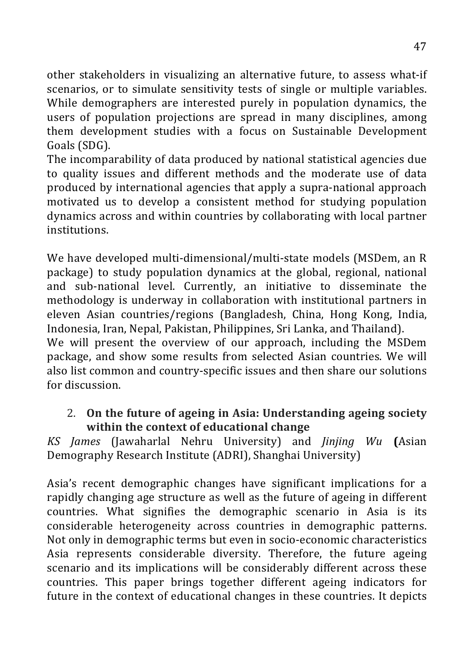other stakeholders in visualizing an alternative future, to assess what-if scenarios, or to simulate sensitivity tests of single or multiple variables. While demographers are interested purely in population dynamics, the users of population projections are spread in many disciplines, among them development studies with a focus on Sustainable Development Goals (SDG).

The incomparability of data produced by national statistical agencies due to quality issues and different methods and the moderate use of data produced by international agencies that apply a supra-national approach motivated us to develop a consistent method for studying population dynamics across and within countries by collaborating with local partner institutions.

We have developed multi-dimensional/multi-state models (MSDem, an R package) to study population dynamics at the global, regional, national and sub-national level. Currently, an initiative to disseminate the methodology is underway in collaboration with institutional partners in eleven Asian countries/regions (Bangladesh, China, Hong Kong, India, Indonesia, Iran, Nepal, Pakistan, Philippines, Sri Lanka, and Thailand).

We will present the overview of our approach, including the MSDem package, and show some results from selected Asian countries. We will also list common and country-specific issues and then share our solutions for discussion.

#### 2. On the future of ageing in Asia: Understanding ageing society **within the context of educational change**

*KS James* (Jawaharlal Nehru University) and *Jinjing Wu* **(**Asian Demography Research Institute (ADRI), Shanghai University)

Asia's recent demographic changes have significant implications for a rapidly changing age structure as well as the future of ageing in different countries. What signifies the demographic scenario in Asia is its considerable heterogeneity across countries in demographic patterns. Not only in demographic terms but even in socio-economic characteristics Asia represents considerable diversity. Therefore, the future ageing scenario and its implications will be considerably different across these countries. This paper brings together different ageing indicators for future in the context of educational changes in these countries. It depicts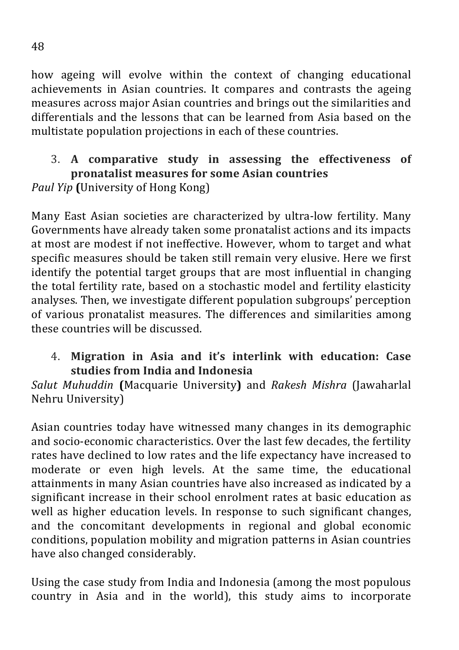how ageing will evolve within the context of changing educational achievements in Asian countries. It compares and contrasts the ageing measures across major Asian countries and brings out the similarities and differentials and the lessons that can be learned from Asia based on the multistate population projections in each of these countries.

#### 3. A comparative study in assessing the effectiveness of **pronatalist measures for some Asian countries** *Paul Yip* (University of Hong Kong)

Many East Asian societies are characterized by ultra-low fertility. Many Governments have already taken some pronatalist actions and its impacts at most are modest if not ineffective. However, whom to target and what specific measures should be taken still remain very elusive. Here we first identify the potential target groups that are most influential in changing the total fertility rate, based on a stochastic model and fertility elasticity analyses. Then, we investigate different population subgroups' perception of various pronatalist measures. The differences and similarities among these countries will be discussed.

#### 4. Migration in Asia and it's interlink with education: Case **studies from India and Indonesia**

*Salut Muhuddin* **(**Macquarie University**)** and *Rakesh Mishra* (Jawaharlal Nehru University)

Asian countries today have witnessed many changes in its demographic and socio-economic characteristics. Over the last few decades, the fertility rates have declined to low rates and the life expectancy have increased to moderate or even high levels. At the same time, the educational attainments in many Asian countries have also increased as indicated by a significant increase in their school enrolment rates at basic education as well as higher education levels. In response to such significant changes, and the concomitant developments in regional and global economic conditions, population mobility and migration patterns in Asian countries have also changed considerably.

Using the case study from India and Indonesia (among the most populous country in Asia and in the world), this study aims to incorporate